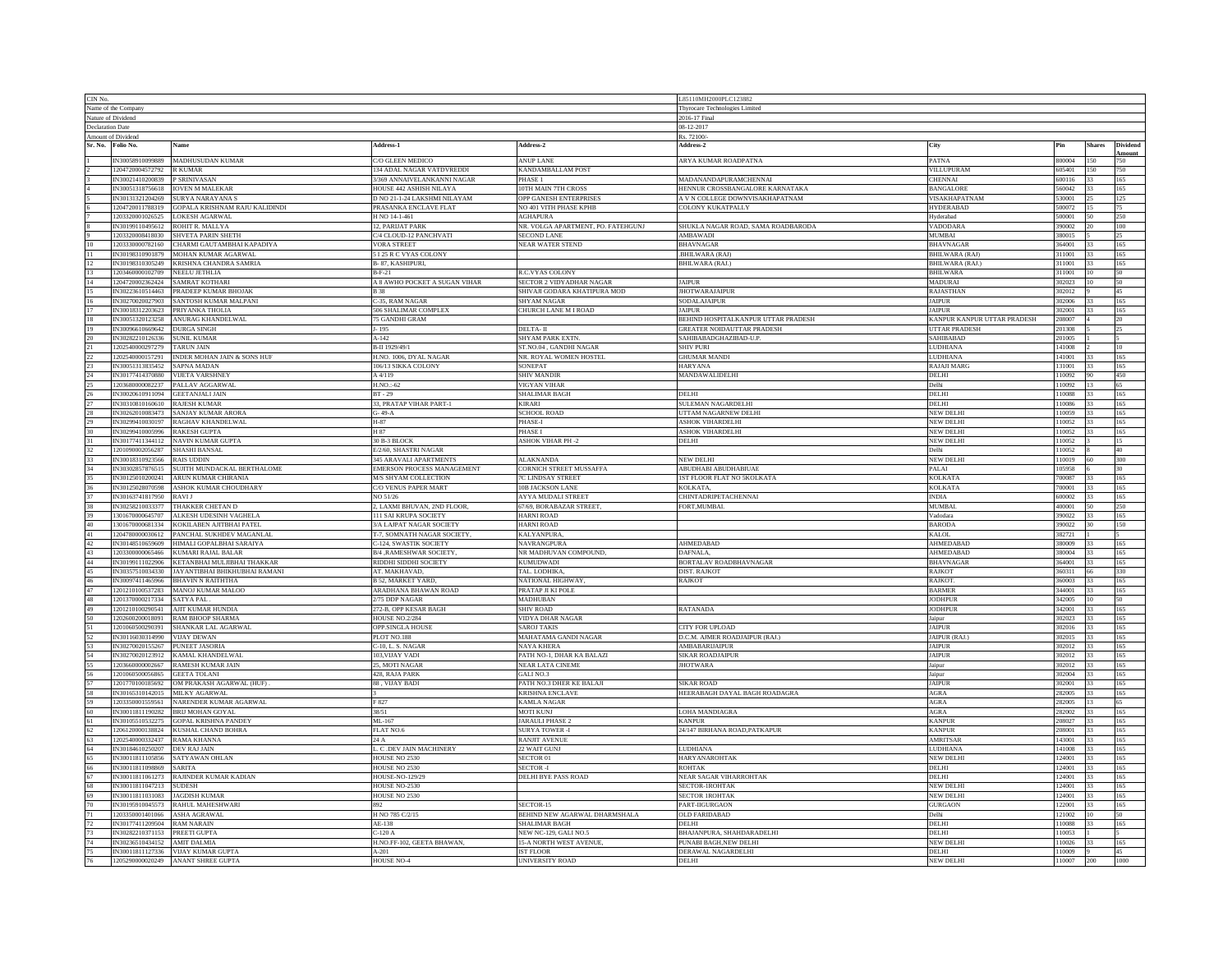| CIN No.                                                   |                                                  |                                                                            |                                               |                                       | L85110MH2000PLC123882                                |                                |                  |               |            |
|-----------------------------------------------------------|--------------------------------------------------|----------------------------------------------------------------------------|-----------------------------------------------|---------------------------------------|------------------------------------------------------|--------------------------------|------------------|---------------|------------|
| Name of the Compan                                        |                                                  |                                                                            |                                               |                                       | Thyrocare Technologies Limite                        |                                |                  |               |            |
| Nature of Dividend                                        |                                                  |                                                                            |                                               |                                       | 2016-17 Final                                        |                                |                  |               |            |
| <b>Declaration Date</b>                                   |                                                  |                                                                            |                                               | 08-12-2017                            |                                                      |                                |                  |               |            |
| Amount of Dividend                                        |                                                  |                                                                            |                                               | Rs. 72100/                            |                                                      |                                |                  |               |            |
|                                                           | Sr. No. Folio No.                                | Name                                                                       | Address-1                                     | Address-2                             | Address-2                                            | City                           |                  | <b>Shares</b> | Dividend   |
|                                                           |                                                  | IN30058910099889 MADHUSUDAN KUMAR                                          | <b>O GLEEN MEDICO</b>                         | <b>ANUP LANE</b>                      | ARYA KUMAR ROADPATNA                                 | PATNA                          | 800004           |               | Amount     |
|                                                           | 1204720004572792 R KUMAR                         |                                                                            | 134 ADAL NAGAR VATDVREDDI                     | KANDAMBALLAM POST                     |                                                      | VILLUPURAM                     | 605401           | 150           | 750        |
|                                                           | IN30021410200839                                 | P SRINIVASAN                                                               | <b>369 ANNAIVELANKANNI NAGAR</b>              | PHASE 1                               | MADANANDAPURAMCHENNAI                                | CHENNAI                        | 600116           | 33            | 165        |
|                                                           |                                                  | IN30051318756618   IOVEN M MALEKAR                                         | HOUSE 442 ASHISH NILAYA                       | 10TH MAIN 7TH CROSS                   | HENNUR CROSSBANGALORE KARNATAKA                      | <b>BANGALORE</b>               | 560042           | 133           | 165        |
|                                                           | IN30131321204269                                 | SURYA NARAYANA S                                                           | D NO 21-1-24 LAKSHMI NILAYAM                  | <b>OPP GANESH ENTERPRISES</b>         | A V N COLLEGE DOWNVISAKHAPATNAM                      | VISAKHAPATNAM                  | 530001           |               | 125        |
|                                                           | 1204720011788319                                 | GOPALA KRISHNAM RAJU KALIDINDI                                             | PRASANKA ENCLAVE FLAT                         | NO 401 VITH PHASE KPHB                | COLONY KUKATPALLY                                    | <b>HYDERABAD</b>               | 500072           |               |            |
|                                                           | 1203320001026525                                 | <b>LOKESH AGARWAL</b>                                                      | H NO 14-1-461                                 | <b>AGHAPURA</b>                       |                                                      | Hyderabad                      | 500001           | 50            | 250        |
|                                                           |                                                  | IN30199110495612 ROHIT R. MALLYA                                           | 2, PARIJAT PARK                               | NR. VOLGA APARTMENT, PO. FATEHGUNJ    | SHUKLA NAGAR ROAD, SAMA ROADBARODA                   | VADODARA                       | 390002           |               | 100        |
|                                                           |                                                  | 1203320008418030 SHVETA PARIN SHETH                                        | C/4 CLOUD-12 PANCHVATI                        | <b>SECOND LANE</b>                    | $\operatorname{AMBAWADI}$                            | MUMBAI                         | 380015           |               | 25         |
|                                                           | 1203330000782160                                 | CHARMI GAUTAMBHAI KAPADIYA                                                 | <b>VORA STREET</b>                            | <b>NEAR WATER STEND</b>               | <b>BHAVNAGAR</b>                                     | <b>BHAVNAGAR</b>               | 364001           |               | 165        |
|                                                           | IN30198310901879                                 | MOHAN KUMAR AGARWAL                                                        | I 25 R C VYAS COLONY                          |                                       | .BHILWARA (RAJ)                                      | <b>BHILWARA</b> (RAJ)          | 311001           |               | 165        |
| $12\phantom{.0}$                                          |                                                  | IN30198310305249 KRISHNA CHANDRA SAMRIA                                    | B-87, KASHIPURI.                              |                                       | <b>BHILWARA (RAJ.)</b>                               | <b>BHILWARA (RAJ.)</b>         | 311001           | 133           | 165        |
| 13                                                        | 1203460000102709                                 | NEELU JETHLIA                                                              | $B-F-21$                                      | <b>R.C.VYAS COLONY</b>                |                                                      | <b>BHILWARA</b>                | 311001           | 10            | 50         |
| 14                                                        |                                                  | 1204720002362424 SAMRAT KOTHARI                                            | A 8 AWHO POCKET A SUGAN VIHAR                 | SECTOR 2 VIDYADHAR NAGAR              | <b>JAIPUR</b>                                        | MADURAI                        | 302023           |               | 50         |
| $15\,$                                                    | IN30223610514463                                 | PRADEEP KUMAR BHOJAK                                                       | <b>B</b> 38                                   | SHIVAJI GODARA KHATIPURA MOD          | <b>JHOTWARAJAIPUR</b>                                | RAJASTHAN                      | 302012           |               | 45         |
| $\frac{16}{17}$                                           |                                                  | IN30270020027903 SANTOSH KUMAR MALPANI<br>IN30018312203623 PRIYANKA THOLIA | C-35, RAM NAGAR                               | SHYAM NAGAR                           | SODALAJAIPUR                                         | <b>JAIPUR</b><br><b>JAIPUR</b> | 302006<br>302001 |               | 165<br>165 |
|                                                           |                                                  |                                                                            | 506 SHALIMAR COMPLEX<br><b>75 GANDHI GRAM</b> | CHURCH LANE M I ROAD                  | <b>JAIPUR</b><br>BEHIND HOSPITALKANPUR UTTAR PRADESH |                                | 208007           | 133           | 20         |
|                                                           |                                                  | IN30051320123258 ANURAG KHANDELWAL                                         |                                               |                                       |                                                      | KANPUR KANPUR UTTAR PRADESH    |                  |               |            |
| $19\,$                                                    | IN30096610669642 DURGA SINGH<br>IN30282210126336 | <b>SUNIL KUMAF</b>                                                         | $-195$<br>$A-142$                             | DELTA- II<br>SHYAM PARK EXTN.         | GREATER NOIDAUTTAR PRADESH<br>SAHIBABADGHAZIBAD-U.P. | UTTAR PRADESH<br>SAHIBABAD     | 201308<br>201005 |               | 25         |
|                                                           | 1202540000297279                                 | <b>TARUN JAIN</b>                                                          | B-II 1929/49/1                                | ST.NO.04, GANDHI NAGAR                | <b>SHIV PURI</b>                                     | <b>LUDHIANA</b>                | 141008           |               | 10         |
|                                                           | 1202540000157291                                 | INDER MOHAN JAIN & SONS HUF                                                | H.NO. 1006, DYAL NAGAR                        | NR. ROYAL WOMEN HOSTEL                | <b>GHUMAR MANDI</b>                                  | LUDHIANA                       | 141001           | 33            | 165        |
| $\begin{array}{r} 21 \\ 22 \\ 23 \\ 24 \\ 25 \end{array}$ | IN30051313835452 SAPNA MADAN                     |                                                                            | 106/13 SIKKA COLONY                           | SONEPAT                               | HARYANA                                              | <b>RAJAJI MARC</b>             | 131001           | 33            | 165        |
|                                                           |                                                  | IN30177414370880 VIJETA VARSHNEY                                           | A 4/119                                       | SHIV MANDIR                           | MANDAWALIDELHI                                       | DELHI                          | 10092            | 90            | 450        |
|                                                           | 1203680000082237                                 | PALLAV AGGARWAL                                                            | $H.NO. -62$                                   | <b>VIGYAN VIHAR</b>                   |                                                      | <b>Delhi</b>                   | 10092            |               | 65         |
|                                                           |                                                  | IN30020610911094 GEETANJALI JAIN                                           | $BT - 29$                                     | <b>SHALIMAR BAGH</b>                  | DELHI                                                | DELHI                          | 110088           |               | 165        |
| $\frac{26}{27}$                                           | IN30310810160610 RAJESH KUMAR                    |                                                                            | 33, PRATAP VIHAR PART-1                       | <b>KIRARI</b>                         | SULEMAN NAGARDELHI                                   | DELHI                          | 110086           | 33            | 165        |
|                                                           |                                                  | IN30262010083473 SANJAY KUMAR ARORA                                        | $G - 49 - A$                                  | <b>SCHOOL ROAD</b>                    | UTTAM NAGARNEW DELHI                                 | NEW DELHI                      | 10059            | 33            | 165        |
| 28<br>29                                                  |                                                  | IN30299410030197 RAGHAV KHANDELWAL                                         | H-87                                          | PHASE-I                               | ASHOK VIHARDELHI                                     | <b>NEW DELHI</b>               | 10052            | 33            | 165        |
| $30\,$                                                    | IN30299410005996                                 | <b>RAKESH GUPTA</b>                                                        | H 87                                          | PHASE I                               | <b>ASHOK VIHARDELHI</b>                              | <b>VEW DELHI</b>               | 10052            |               | 165        |
|                                                           | IN30177411344112                                 | NAVIN KUMAR GUPTA                                                          | 30 B-3 BLOCK                                  | <b>ASHOK VIHAR PH -2</b>              | DELHI                                                | NEW DELHI                      | 10052            |               |            |
| $\frac{31}{32}$                                           | 1201090002056287 SHASHI BANSAL                   |                                                                            | E/2/60, SHASTRI NAGAR                         |                                       |                                                      | Delhi                          | 110052           |               | 40         |
| 33                                                        | IN30018310923566                                 | <b>RAIS UDDIN</b>                                                          | 345 ARAVALI APARTMENTS                        | <b>ALAKNANDA</b>                      | <b>NEW DELHI</b>                                     | <b>NEW DELHI</b>               | 110019           | 60            | 300        |
|                                                           |                                                  | IN30302857876515 SUJITH MUNDACKAL BERTHALOME                               | EMERSON PROCESS MANAGEMENT                    | CORNICH STREET MUSSAFFA               | ABUDHABI ABUDHABIUAE                                 | PALAI                          | 105958           |               | 30         |
| 34<br>35                                                  | IN30125010200241                                 | ARUN KUMAR CHIRANIA                                                        | <b>M/S SHYAM COLLECTION</b>                   | C LINDSAY STREET                      | IST FLOOR FLAT NO 5KOLKATA                           | KOLKATA                        | 700087           |               | 165        |
|                                                           | IN30125028070598                                 | ASHOK KUMAR CHOUDHARY                                                      | C/O VENUS PAPER MART                          | <b>10B JACKSON LANE</b>               | <b>KOLKATA</b>                                       | <b>KOLKATA</b>                 | 700001           |               | 165        |
| 36<br>37                                                  | IN30163741817950                                 | RAVI J                                                                     | NO 51/26                                      | <b>AYYA MUDALI STREET</b>             | <b>CHINTADRIPETACHENNAI</b>                          | <b>INDIA</b>                   | 600002           | 33            | 165        |
|                                                           |                                                  | IN30258210033377 THAKKER CHETAN D                                          | 2, LAXMI BHUVAN, 2ND FLOOR,                   | 67/69, BORABAZAR STREET,              | FORT, MUMBAI.                                        | <b>MUMBAI</b>                  | 400001           | 50            | 250        |
|                                                           | 1301670000645707                                 | ALKESH UDESINH VAGHELA                                                     | 111 SAI KRUPA SOCIETY                         | HARNI ROAD                            |                                                      | Vadodara                       | 390022           | 33            | 165        |
| 38<br>39<br>40                                            | 1301670000681334                                 | KOKILABEN AJITBHAI PATEL                                                   | A LAJPAT NAGAR SOCIETY                        | <b>HARNI ROAD</b>                     |                                                      | <b>BARODA</b>                  | 90022            |               | 150        |
|                                                           | 1204780000030612                                 | PANCHAL SUKHDEV MAGANLAI                                                   | <b>7-7, SOMNATH NAGAR SOCIETY</b>             | <b>KALYANPURA</b>                     |                                                      | KALOL                          | 382721           |               |            |
| $\frac{42}{43}$                                           | IN30148510659609                                 | HIMALI GOPALBHAI SARAIYA                                                   | C-124, SWASTIK SOCIETY                        | NAVRANGPURA                           | <b>AHMEDABAD</b>                                     | AHMEDABAD                      | 380009           | 33            | 165        |
|                                                           | 1203300000065466                                 | KUMARI RAJAL BALAR                                                         | B/4 , RAMESHWAR SOCIETY                       | NR MADHUVAN COMPOUND,                 | <b>DAFNALA</b>                                       | AHMEDABAD                      | 380004           | 33            | 165        |
| 44<br>45<br>46<br>47                                      | IN30199111022906                                 | KETANBHAI MULJIBHAI THAKKAR                                                | RIDDHI SIDDHI SOCIETY                         | <b>KUMUDWADI</b>                      | BORTALAV ROADBHAVNAGAR                               | <b>BHAVNAGAR</b>               | 364001           | 33            | 165        |
|                                                           | IN30357510034330                                 | JAYANTIBHAI BHIKHUBHAI RAMANI                                              | AT. MAKHAVAD,                                 | TAL. LODHIKA                          | DIST. RAJKOT                                         | RAJKOT                         | 360311           |               | 330        |
|                                                           | IN30097411465966                                 | BHAVIN N RAITHTHA                                                          | <b>B 52, MARKET YARD</b>                      | NATIONAL HIGHWAY                      | <b>RAJKOT</b>                                        | RAJKOT.                        | 360003           |               | 165        |
|                                                           |                                                  | 1201210100537283 MANOJ KUMAR MALOO                                         | ARADHANA BHAWAN ROAD                          | PRATAP JI KI POLE                     |                                                      | <b>BARMER</b>                  | 344001           | 33            | 165        |
| $\bf 48$                                                  | 1201370000217334 SATYA PAL                       |                                                                            | 2/75 DDP NAGAR                                | <b>MADHUBAN</b>                       |                                                      | JODHPUR                        | 342005           |               | 50         |
| 49                                                        |                                                  | 1201210100290541 AJIT KUMAR HUNDIA                                         | 272-B, OPP KESAR BAGH                         | <b>SHIV ROAD</b>                      | <b>RATANADA</b>                                      | <b>JODHPUR</b>                 | 342001           | 33            | 165        |
| 50                                                        | 1202600200018091                                 | RAM BHOOP SHARMA                                                           | <b>HOUSE NO.2/284</b>                         | <b>JIDYA DHAR NAGAR</b>               |                                                      | aipur                          | 802023           |               | 165        |
| $\frac{51}{52}$                                           |                                                  | 1201060500290391 SHANKAR LAL AGARWAI                                       | OPP.SINGLA HOUSE                              | SAROJ TAKIS                           | CITY FOR UPLOAD                                      | <b>JAIPUR</b>                  | 302016           |               | 165        |
|                                                           | IN30116030314990 VIJAY DEWAN                     |                                                                            | PLOT NO.188                                   | MAHATAMA GANDI NAGAR                  | D.C.M. AJMER ROADJAIPUR (RAJ.)                       | JAIPUR (RAJ.                   | 302015           | 133           | 165        |
| 53                                                        | IN30270020155267 PUNEET JASORIA                  | IN30270020123912 KAMAL KHANDELWAL                                          | C-10, L. S. NAGAR                             | NAYA KHERA                            | AMBABARIJAIPUR<br><b>SIKAR ROADJAIPUR</b>            | <b>JAIPUR</b><br><b>JAIPUR</b> | 302012<br>302012 | 33            | 165<br>165 |
| 54<br>55                                                  |                                                  |                                                                            | 103. VIJAY VADI                               | PATH NO-1, DHAR KA BALAZI             |                                                      |                                |                  | 33            |            |
|                                                           | 1203660000002667                                 | RAMESH KUMAR JAIN                                                          | 5, MOTI NAGAR                                 | <b>VEAR LATA CINEME</b>               | <b>JHOTWARA</b>                                      | aipur                          | 802012<br>302004 |               | 165<br>165 |
| $\frac{56}{57}$                                           | 1201060500056865<br>1201770100185692             | GEETA TOLANI<br>OM PRAKASH AGARWAL (HUF)                                   | 428, RAJA PARK<br>88, VIJAY BADI              | GALI NO.3<br>PATH NO.3 DHER KE BALAJI | <b>SIKAR ROAD</b>                                    | Jaipur<br><b>JAIPUR</b>        | 302001           | 33            | 165        |
| 58                                                        |                                                  | IN30165310142015 MILKY AGARWAL                                             |                                               | KRISHNA ENCLAVE                       | HEERABAGH DAYAL BAGH ROADAGRA                        | <b>AGRA</b>                    | 282005           | 33            | 165        |
| 59                                                        | 1203350001559561                                 | NARENDER KUMAR AGARWAL                                                     | F827                                          | KAMLA NAGAR                           |                                                      | <b>AGRA</b>                    | 282005           | 13            | 65.        |
| $60\,$                                                    | IN30011811190282                                 | <b>BRIJ MOHAN GOYAL</b>                                                    | 38/51                                         | MOTI KUNJ                             | LOHA MANDIAGRA                                       | <b>AGRA</b>                    | 282002           |               | 165        |
|                                                           | IN30105510532275                                 | <b>GOPAL KRISHNA PANDEY</b>                                                | ML-167                                        | JARAULI PHASE 2                       | <b>KANPUR</b>                                        | <b>KANPUF</b>                  | 208027           |               | 165        |
| 62                                                        |                                                  | 1206120000138824 KUSHAL CHAND BOHRA                                        | FLAT NO.6                                     | <b>SURYA TOWER -I</b>                 | 24/147 BIRHANA ROAD, PATKAPUR                        | <b>KANPUR</b>                  | 208001           | 133           | 165        |
| 63                                                        | 1202540000332437 RAMA KHANNA                     |                                                                            | 24 A                                          | RANJIT AVENUE                         |                                                      | AMRITSAR                       | 143001           | 33            | 165        |
|                                                           | IN30184610250207                                 | DEV RAI JAIN                                                               | L. C .DEV JAIN MACHINERY                      | 22 WAIT GUNJ                          | <b>LUDHIANA</b>                                      | <b>JIDHIANA</b>                | 141008           | 33            | 165        |
|                                                           | IN30011811105856                                 | SATYAWAN OHLAN                                                             | HOUSE NO 2530                                 | SECTOR 01                             | <b>HARYANAROHTAK</b>                                 | <b>VEW DELHI</b>               | 24001            |               | 165        |
| 64<br>65<br>66<br>67                                      | IN30011811098869 SARITA                          |                                                                            | HOUSE NO 2530                                 | <b>SECTOR -I</b>                      | <b>ROHTAK</b>                                        | DELHI                          | 124001           |               | 165        |
|                                                           | IN30011811061273                                 | RAJINDER KUMAR KADIAN                                                      | <b>HOUSE-NO-129/29</b>                        | DELHI BYE PASS ROAD                   | NEAR SAGAR VIHARROHTAK                               | DELHI                          | 124001           |               | 165        |
| $68\,$                                                    | IN30011811047213 SUDESH                          |                                                                            | HOUSE NO-2530                                 |                                       | SECTOR-IROHTAK                                       | <b>NEW DELHI</b>               | 124001           | 33            | 165        |
|                                                           | IN30011811031083                                 | <b>JAGDISH KUMAR</b>                                                       | <b>HOUSE NO 2530</b>                          |                                       | <b>SECTOR IROHTAK</b>                                | <b>NEW DELHI</b>               | 124001           | 33            | 165        |
| 69<br>70                                                  | IN30195910045573                                 | RAHUL MAHESHWARI                                                           |                                               | SECTOR-15                             | PART-IIGURGAON                                       | <b>JURGAON</b>                 | 122001           |               | 165        |
|                                                           | 1203350001401066                                 | <b>ASHA AGRAWAL</b>                                                        | H NO 785 C/2/15                               | BEHIND NEW AGARWAL DHARMSHALA         | <b>OLD FARIDABAD</b>                                 | <b>Oclhi</b>                   | 121002           |               | 50         |
| 72                                                        | IN30177411209504                                 | <b>RAM NARAIN</b>                                                          | AE-138                                        | SHALIMAR BAGH                         | <b>DELHI</b>                                         | DELHI                          | 110088           |               | 165        |
| 73                                                        | IN30282210371153 PREETI GUPTA                    |                                                                            | $C-120A$                                      | NEW NC-129, GALI NO.5                 | BHAJANPURA, SHAHDARADELHI                            | DELHI                          | 110053           |               |            |
|                                                           | IN30236510434152 AMIT DALMIA                     |                                                                            | H.NO.FF-102, GEETA BHAWAN,                    | 15-A NORTH WEST AVENUE.               | PUNABI BAGH, NEW DELHI                               | NEW DELHI                      | 110026           |               | 165        |
|                                                           |                                                  | IN30011811127336 VIJAY KUMAR GUPTA                                         | $A - 201$                                     | <b>IST FLOOR</b>                      | DERAWAL NAGARDELHI                                   | <b>DELHI</b>                   | 10009            |               | 45         |
| 74<br>75<br>76                                            |                                                  | 1205290000020249 ANANT SHREE GUPTA                                         | <b>HOUSE NO-4</b>                             | <b>UNIVERSITY ROAD</b>                | DELHI                                                | <b>NEW DELH</b>                | 110007           | 200           | 1000       |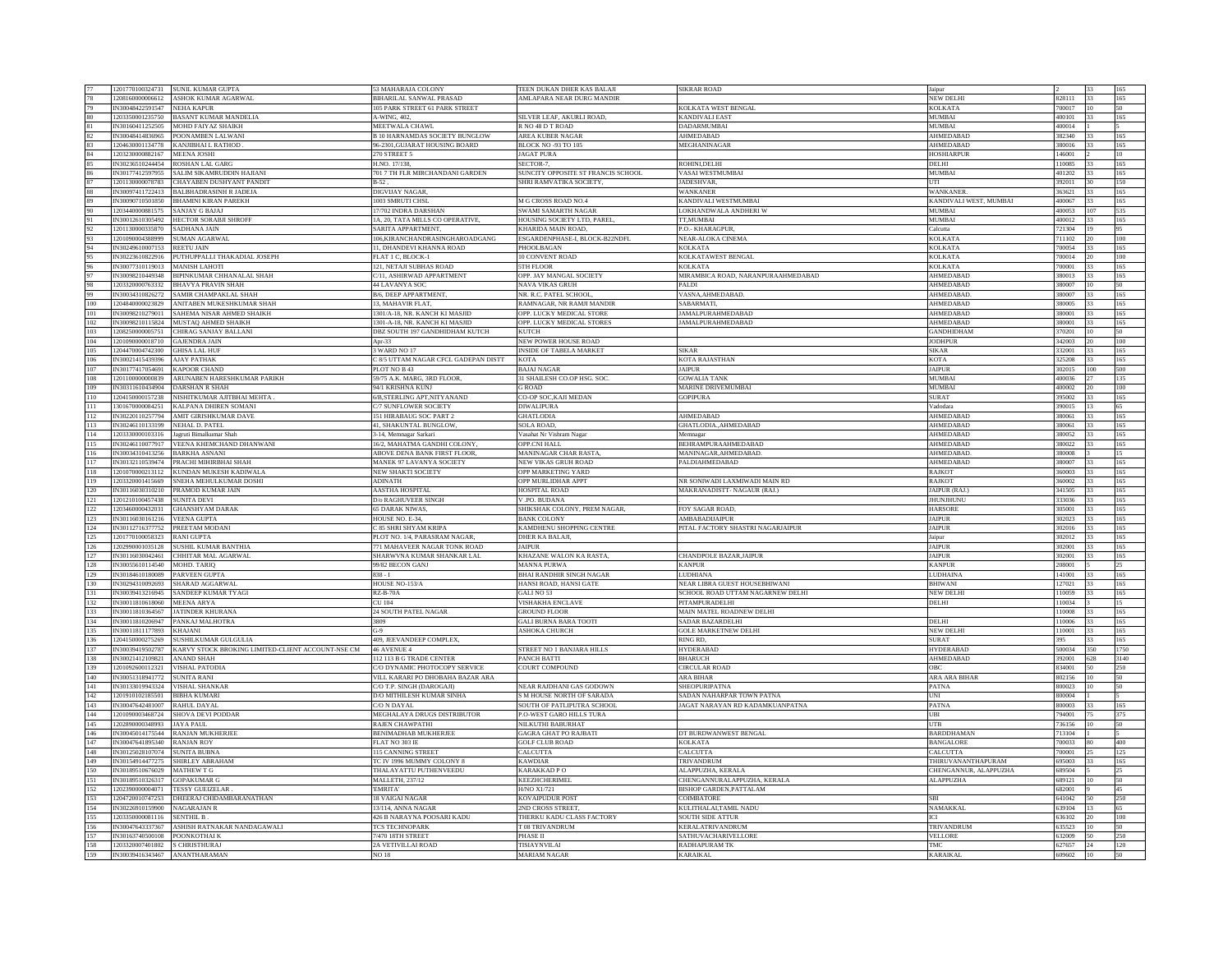|            | 1201770100324731                                   | SUNIL KUMAR GUPTA                                 | 53 MAHARAJA COLONY                        | TEEN DUKAN DHER KAS BALAJI         | <b>SIKRAR ROAD</b>                 | Jaipur                        |                  |              |      |
|------------|----------------------------------------------------|---------------------------------------------------|-------------------------------------------|------------------------------------|------------------------------------|-------------------------------|------------------|--------------|------|
|            | 1208160000006612                                   | ASHOK KUMAR AGARWAL                               | BIHARILAL SANWAL PRASAD                   | AMLAPARA NEAR DURG MANDIR          |                                    | <b>NEW DELHI</b>              | 828111           |              |      |
|            | IN30048422591547                                   | <b>NEHA KAPUR</b>                                 | 105 PARK STREET 61 PARK STREET            |                                    | KOLKATA WEST BENGAL                | <b>KOLKATA</b>                | 700017           | 10           | 50.  |
|            |                                                    |                                                   |                                           |                                    |                                    |                               |                  |              |      |
|            | 1203350001235750                                   | BASANT KUMAR MANDELIA                             | <b>A-WING, 402.</b>                       | SILVER LEAF, AKURLI ROAD,          | <b>ANDIVALI EAST</b>               | <b>MUMBAI</b>                 | 100101           |              |      |
|            | IN30160411252505                                   | <b>MOHD FAIYAZ SHAIKH</b>                         | MEETWALA CHAWL                            | R NO 48 D T ROAD                   | <b>DADARMUMBAI</b>                 | <b>MUMBAI</b>                 | 400014           |              |      |
|            | IN30048414836965                                   | POONAMBEN LALWANI                                 | <b>B 10 HARNAMDAS SOCIETY BUNGLOW</b>     | AREA KUBER NAGAR                   | AHMEDABAD                          | AHMEDABAD                     | 82340            |              |      |
|            |                                                    |                                                   |                                           |                                    |                                    |                               |                  |              |      |
|            |                                                    | 1204630001134778 KANJIBHAI L RATHOD.              | 96-2301, GUJARAT HOUSING BOARD            | <b>BLOCK NO -93 TO 105</b>         | MEGHANINAGAR                       | AHMEDABAD                     | 380016           | 33           | 165  |
|            | 1203230000882167                                   | <b>MEENA JOSHI</b>                                | 270 STREET 5                              | <b>JAGAT PURA</b>                  |                                    | <b>HOSHIARPUR</b>             | 146001           |              | 10   |
|            | IN30236510244454                                   | <b>ROSHAN LAL GARG</b>                            | H.NO. 17/138                              | SECTOR-7                           | ROHINI, DELHI                      | DELHI                         | 10085            |              | 165  |
|            |                                                    |                                                   |                                           |                                    |                                    |                               |                  |              |      |
|            | IN30177412597955                                   | SALIM SIKAMRUDDIN HAJIANI                         | 701 7 TH FLR MIRCHANDANI GARDEN           | SUNCITY OPPOSITE ST FRANCIS SCHOOL | VASAI WESTMUMBAI                   | <b>MUMBAI</b>                 | 401202           | 33           | 165  |
|            | 1201130000078783                                   | CHAYABEN DUSHYANT PANDIT                          | <b>B-52</b>                               | SHRI RAMVATIKA SOCIETY             | JADESHVAR,                         | UTI                           | 92011            | $30^{\circ}$ | 150  |
|            |                                                    | IN30097411722413 BALBHADRASINH R JADEJA           |                                           |                                    |                                    | <b>WANKANER</b>               | 363621           | 33           | 165  |
|            |                                                    |                                                   | DIGVIJAY NAGAR,                           |                                    | <b>WANKANER</b>                    |                               |                  |              |      |
|            | IN30090710501850                                   | <b>BHAMINI KIRAN PAREKH</b>                       | 1003 SMRUTI CHSL                          | M G CROSS ROAD NO.4                | KANDIVALI WESTMUMBAI               | KANDIVALI WEST, MUMBAI        | 400067           | 33           | 165  |
|            | 1203440000881575                                   | <b>SANJAY G BAJA</b>                              | 17/702 INDRA DARSHAN                      | SWAMI SAMARTH NAGAR                | OKHANDWALA ANDHERI W               | <b>MUMBAI</b>                 | 400053           | 107          | 535  |
|            |                                                    |                                                   |                                           |                                    |                                    |                               |                  |              |      |
|            | IN30012610305492                                   | HECTOR SORABJI SHROFF                             | A, 20, TATA MILLS CO OPERATIVE.           | HOUSING SOCIETY LTD, PAREL         | TT.MUMBAI                          | <b>MUMBAI</b>                 | 400012           | 33           | 165  |
|            | 1201130000335870                                   | SADHANA JAIN                                      | SARITA APPARTMENT                         | KHARIDA MAIN ROAD,                 | P.O.- KHARAGPUR                    | Calcutta                      | 21304            | 19           |      |
|            | 1201090004388999                                   | <b>SUMAN AGARWAL</b>                              | 106, KIRANCHANDRASINGHAROADGANG           | ESGARDENPHASE-I, BLOCK-B22NDFL     | NEAR-ALOKA CINEMA                  | <b>KOLKATA</b>                | 11102            | 20           | 100  |
|            |                                                    |                                                   |                                           |                                    |                                    |                               |                  |              |      |
|            | IN30249610007153                                   | <b>REETU JAIN</b>                                 | 1. DHANDEVI KHANNA ROAD                   | PHOOLBAGAN                         | <b>KOLKATA</b>                     | <b>KOLKATA</b>                | 00054            | 33           | 165  |
|            | IN30223610822916                                   | PUTHUPPALLI THAKADIAL JOSEPH                      | LAT 1 C. BLOCK-1                          | 0 CONVENT ROAD                     | <b>COLKATAWEST BENGAL</b>          | <b>KOLKATA</b>                | 00014            |              | 100  |
|            | IN30077310119013                                   | <b>MANISH LAHOTI</b>                              | 121. NETAJI SUBHAS ROAD                   | 5TH FLOOR                          | <b>KOLKATA</b>                     | <b>KOLKATA</b>                | 700001           | 33           | 165  |
|            |                                                    |                                                   |                                           |                                    |                                    |                               |                  |              |      |
|            | IN30098210449348                                   | BIPINKUMAR CHHANALAL SHAH                         | C/11, ASHIRWAD APPARTMENT                 | OPP. JAY MANGAL SOCIETY            | MIRAMBICA ROAD, NARANPURAAHMEDABAD | AHMEDABAD                     | 80013            | 33           | 165  |
|            | 1203320000763332                                   | <b>BHAVYA PRAVIN SHAH</b>                         | 44 LAVANYA SOC                            | <b>NAVA VIKAS GRUH</b>             | PALDI                              | AHMEDABAD                     | 380007           | 10           | 50   |
| 99         | IN30034310826272                                   | <b>SAMIR CHAMPAKLAL SHAH</b>                      | <b>B/6. DEEP APPARTMENT</b>               | NR. R.C. PATEL SCHOOL              | VASNA, AHMEDABAD.                  | AHMEDABAD.                    | 380007           | 33           | 165  |
|            |                                                    |                                                   |                                           |                                    |                                    |                               |                  |              |      |
| 100        | 1204840000023829                                   | ANITABEN MUKESHKUMAR SHAH                         | 3. MAHAVIR FLAT.                          | RAMNAGAR, NR RAMJI MANDIR          | SABARMATI.                         | AHMEDABAD                     | 80005            |              | 165  |
| 101        | IN30098210279011                                   | SAHEMA NISAR AHMED SHAIKH                         | 1301/A-18, NR. KANCH KI MASJID            | OPP. LUCKY MEDICAL STORE           | <b>JAMALPURAHMEDABAD</b>           | <b>AHMEDABAD</b>              | 380001           | 33           | 165  |
|            |                                                    |                                                   |                                           |                                    |                                    |                               | 80001            | 33           | 165  |
| 102        | IN30098210115824                                   | MUSTAQ AHMED SHAIKH                               | 301-A-18, NR. KANCH KI MASJID             | OPP. LUCKY MEDICAL STORES          | <b>JAMALPURAHMEDABAD</b>           | AHMEDABAD                     |                  |              |      |
| 103        |                                                    | 1208250000005751 CHIRAG SANJAY BALLANI            | DBZ SOUTH 197 GANDHIDHAM KUTCH            | <b>KUTCH</b>                       |                                    | <b>GANDHIDHAM</b>             | 70201            | 10           | 50   |
| 104        | 1201090000018710                                   | <b>GAJENDRA JAIN</b>                              | Apr- $33$                                 | NEW POWER HOUSE ROAD               |                                    | <b>JODHPUR</b>                | 342003           | 20           | 100  |
|            |                                                    |                                                   |                                           |                                    |                                    |                               |                  |              |      |
| 105        | 1204470004742300                                   | <b>GHISA LAL HUE</b>                              | WARD NO <sub>17</sub>                     | <b>INSIDE OF TABELA MARKET</b>     | <b>SIKAR</b>                       | <b>SIKAR</b>                  | 32001            |              | 165  |
| 106        | IN30021415439396                                   | <b>AJAY PATHAK</b>                                | <b>8/5 UTTAM NAGAR CFCL GADEPAN DISTT</b> | <b>KOTA</b>                        | KOTA RAJASTHAN                     | <b>KOTA</b>                   | 25208            | 33           | 165  |
| 107        | IN30177417054691                                   | <b>KAPOOR CHAND</b>                               | PLOT NO B 43                              | <b>BAJAJ NAGAR</b>                 | <b>JAIPUR</b>                      | <b>JAIPUR</b>                 | 02015            | $100\,$      | 500  |
|            |                                                    |                                                   |                                           |                                    |                                    |                               |                  |              |      |
| 108        | 1201100000000839                                   | ARUNABEN HARESHKUMAR PARIKH                       | 59/75 A.K. MARG, 3RD FLOOR,               | 31 SHAILESH CO.OP HSG. SOC.        | <b>GOWALIA TANK</b>                | <b>MUMBAI</b>                 | 400036           | 27           | 135  |
| 109        | IN30311610434904                                   | <b>DARSHAN R SHAH</b>                             | 94/1 KRISHNA KUNJ                         | <b>G ROAD</b>                      | MARINE DRIVEMUMBAI                 | MUMBAI                        | 100002           | 20           | 100  |
|            | 1204150000157238                                   | NISHITKUMAR AJITBHAI MEHTA                        | 6/B, STERLING APT, NITY ANAND             | CO-OP SOC, KAJI MEDAN              | <b>GOPIPURA</b>                    | <b>SURAT</b>                  | 95002            |              | 165  |
| 110        |                                                    |                                                   |                                           |                                    |                                    |                               |                  |              |      |
| 111        | 1301670000084251                                   | KALPANA DHIREN SOMANI                             | <b>27 SUNFLOWER SOCIETY</b>               | <b>DIWALIPURA</b>                  |                                    | Vadodara                      | 390015           | 13           |      |
| 112        | IN30220110257794                                   | AMIT GIRISHKUMAR DAVE                             | 51 HIRABAUG SOC PART 2                    | <b>GHATLODIA</b>                   | AHMEDABAD                          | AHMEDABAD                     | 80061            | 33           | 165  |
|            | IN30246110133199                                   |                                                   |                                           |                                    |                                    | AHMEDABAD                     | 380061           |              |      |
| 113        |                                                    | NEHAL D. PATEL                                    | 11, SHAKUNTAL BUNGLOW,                    | SOLA ROAD,                         | GHATLODIA., AHMEDABAD              |                               |                  | 33           | 165  |
| 114        | 1203330000103316                                   | Jagruti Bimalkumar Shah                           | 3-14, Memnagar Sarkari                    | Vasahat Nr Vishram Nagar           | Memnagar                           | AHMEDABAD                     | 380052           | 33           | 165  |
| 115        | IN30246110077917                                   | VEENA KHEMCHAND DHANWANI                          | 6/2. MAHATMA GANDHI COLONY                | <b>OPP.CNI HALI</b>                | BEHRAMPURAAHMEDABAD                | AHMEDABAD                     | 80022            |              | 165  |
|            |                                                    |                                                   |                                           |                                    |                                    |                               |                  |              |      |
| 116        | IN30034310413256 RARKHA ASNANI                     |                                                   | <b>ABOVE DENA BANK FIRST FLOOR</b>        | <b>MANINAGAR CHAR RASTA</b>        | <b>MANINAGAR AHMEDARAD</b>         | <b>AHMEDARAD</b>              | 380008           |              | 15   |
| 117        | IN30132110539474                                   | PRACHI MIHIRBHAI SHAH                             | MANEK 97 LAVANYA SOCIETY                  | NEW VIKAS GRUH ROAD                | PALDIAHMEDABAD                     | AHMEDABAD                     | 80007            | 33           | 165  |
| 118        |                                                    | 1201070000213112 KUNDAN MUKESH KADIWALA           | NEW SHAKTI SOCIETY                        | OPP MARKETING YARD                 |                                    | <b>RAJKOT</b>                 | 60003            | 33           | 165  |
|            |                                                    |                                                   |                                           |                                    |                                    |                               |                  |              |      |
|            | 1203320001415669                                   |                                                   |                                           |                                    |                                    |                               |                  | 33           |      |
| 119        |                                                    | SNEHA MEHULKUMAR DOSHI                            | <b>ADINATH</b>                            | OPP MURLIDHAR APPT                 | NR SONIWADI LAXMIWADI MAIN RD      | <b>RAJKOT</b>                 | 360002           |              | 165  |
|            |                                                    |                                                   |                                           |                                    |                                    |                               |                  |              |      |
| 120        |                                                    | IN30116030310210 PRAMOD KUMAR JAIN                | AASTHA HOSPITAL                           | HOSPITAL ROAD                      | MAKRANADISTT- NAGAUR (RAJ.)        | JAIPUR (RAJ.)                 | 341505           |              | 165  |
| 121        | 1201210100457438                                   | <b>SUNITA DEVI</b>                                | D/o RAGHUVEER SINGH                       | V.PO. BUDANA                       |                                    | <b>JHUNJHUNL</b>              | 33036            | 33           | 165  |
| 122        | 1203460000432031                                   | <b>GHANSHYAM DARAK</b>                            | 65 DARAK NIWAS,                           | SHIKSHAK COLONY, PREM NAGAR,       | FOY SAGAR ROAD,                    | <b>HARSORE</b>                | 05001            | 33           | 165  |
|            |                                                    |                                                   |                                           |                                    |                                    |                               |                  |              |      |
| 123        | IN30116030161216 VEENA GUPTA                       |                                                   | HOUSE NO. E-34,                           | <b>BANK COLONY</b>                 | AMBABADIJAIPUR                     | <b>JAIPUR</b>                 | 302023           | 33           | 165  |
| 124        | IN30112716377752                                   | PREETAM MODANI                                    | <b>35 SHRI SHYAM KRIPA</b>                | KAMDHENU SHOPPING CENTRE           | PITAL FACTORY SHASTRI NAGARJAIPUR  | <b>JAIPUR</b>                 | 02016            | 33           | 165  |
|            | 1201770100058323                                   | <b>RANI GUPTA</b>                                 | PLOT NO. 1/4, PARASRAM NAGAR,             | DHER KA BALAJI,                    |                                    | Jaipur                        | 02012            |              | 165  |
| 125        |                                                    |                                                   |                                           |                                    |                                    |                               |                  |              |      |
| 126        | 1202990001035128                                   | SUSHIL KUMAR BANTHIA                              | 71 MAHAVEER NAGAR TONK ROAD               | <b>JAIPUR</b>                      |                                    | <b>JAIPUR</b>                 | 302001           | 33           | 165  |
| 127        | IN30116030042461                                   | CHHITAR MAL AGARWAI                               | SHARWVNA KUMAR SHANKAR LAL                | KHAZANE WALON KA RASTA,            | CHANDPOLE BAZAR, JAIPUR            | <b>JAIPUR</b>                 | 02001            | 33           | 165  |
|            | IN30055610114540                                   | MOHD. TARIO                                       | 99/82 BECON GANJ                          |                                    | <b>KANPUR</b>                      | <b>KANPUR</b>                 | 08001            |              | 25   |
| 128        |                                                    |                                                   |                                           | MANNA PURWA                        |                                    |                               |                  |              |      |
| 129        | IN30184610180089                                   | PARVEEN GUPTA                                     | $838 - I$                                 | BHAI RANDHIR SINGH NAGAR           | <b>LUDHIANA</b>                    | LUDHAINA                      | 41001            |              | 165  |
| 130        | IN30294310092693                                   | SHARAD AGGARWAI                                   | HOUSE NO-153/A                            | HANSI ROAD, HANSI GATE             | NEAR LIBRA GUEST HOUSEBHIWANI      | <b>BHIWANI</b>                | 27021            |              | 165  |
| 131        | IN30039413216945                                   | <b>SANDEEP KUMAR TYAGI</b>                        | <b>RZ-B-70A</b>                           | GALI NO 53                         | SCHOOL ROAD UTTAM NAGARNEW DELHI   | <b>NEW DELH</b>               | 110059           | 33           | 165  |
|            |                                                    |                                                   |                                           |                                    |                                    |                               |                  |              |      |
| 132        | IN30011810618060                                   | MEENA ARYA                                        | CU 104                                    | <b>VISHAKHA ENCLAVE</b>            | PITAMPURADELHI                     | DELHI                         | 10034            |              |      |
| 133        | IN30011810364567                                   | <b>JATINDER KHURANA</b>                           | 24 SOUTH PATEL NAGAR                      | <b>GROUND FLOOR</b>                | MAIN MATEL ROADNEW DELHI           |                               | 10008            | 33           | 165  |
| 134        | IN30011810206947                                   | PANKAJ MALHOTRA                                   | 3809                                      | <b>GALI BURNA BARA TOOTI</b>       | SADAR BAZARDELHI                   | <b>DELHI</b>                  | 10006            | 33           | 165  |
|            |                                                    |                                                   |                                           |                                    |                                    |                               |                  |              |      |
| 135        | IN30011811177893                                   | <b>KHAJAN</b>                                     | $G-9$                                     | <b>ASHOKA CHURCH</b>               | <b>GOLE MARKETNEW DELHI</b>        | <b>NEW DELHI</b>              | 10001            |              | 165  |
| 136        | 1204150000275269                                   | SUSHILKUMAR GULGULIA                              | 409, JEEVANDEEP COMPLEX,                  |                                    | RING RD                            | <b>SURAT</b>                  | 395              | 33           | 165  |
| 137        | IN30039419502787                                   | KARVY STOCK BROKING LIMITED-CLIENT ACCOUNT-NSE CM | 46 AVENUE 4                               | STREET NO 1 BANJARA HILLS          | <b>HYDERABAD</b>                   | <b>HYDERABAD</b>              | 500034           | 350          | 1750 |
|            |                                                    |                                                   |                                           |                                    |                                    |                               |                  |              |      |
| 138        | IN30021412109821                                   | <b>ANAND SHAH</b>                                 | 112 113 B G TRADE CENTER                  | PANCH BATTI                        | <b>BHARUCH</b>                     | <b>AHMEDABAD</b>              | 392001           | 628          | 3140 |
| 139        | 1201092600112321                                   | <b>VISHAL PATODIA</b>                             | C/O DYNAMIC PHOTOCOPY SERVICE             | COURT COMPOUND                     | <b>CIRCULAR ROAD</b>               | OBC                           | 34001            | 50           | 250  |
|            | IN30051318941772                                   |                                                   |                                           |                                    | ARA BIHAR                          |                               | 802156           | 10           |      |
| 140        |                                                    | <b>SUNITA RANI</b>                                | VILL KARARI PO DHOBAHA BAZAR ARA          |                                    |                                    | ARA ARA BIHAR                 |                  |              |      |
| 141        | IN30133019943324                                   | <b>VISHAL SHANKAR</b>                             | C/O T P. SINGH (DAROGAID)                 | NEAR RAJDHANI GAS GODOWN           | SHEOPURIPATNA                      | <b>PATNA</b>                  | 800023           | 10           |      |
| 142        | 1201910102185501                                   | <b>BIBHA KUMARI</b>                               | <b>D/O MITHILESH KUMAR SINHA</b>          | <b>M HOUSE NORTH OF SARADA</b>     | SADAN NAHARPAR TOWN PATNA          | UNI                           | 800004           |              |      |
| 143        | IN30047642481007                                   |                                                   |                                           |                                    | JAGAT NARAYAN RD KADAMKUANPATNA    | PATNA                         | 800003           | 33           | 165  |
|            |                                                    | RAHUL DAYAL                                       | C/O N DAYAL                               | SOUTH OF PATLIPUTRA SCHOOL         |                                    |                               |                  |              |      |
| 144        | 1201090003468724                                   | <b>SHOVA DEVI PODDAR</b>                          | MEGHALAYA DRUGS DISTRIBUTOR               | P.O-WEST GARO HILLS TURA           |                                    | UBI                           | 94001            | 75           | 375  |
| 145        | 1202890000348993                                   | <b>JAYA PAUL</b>                                  | RAJEN CHAWPATHI                           | NILKUTHI BABURHAT                  |                                    | <b>UTB</b>                    | 36156            |              |      |
|            | IN30045014175544                                   | <b>RANJAN MUKHERJEE</b>                           | BENIMADHAB MUKHERJEE                      |                                    | DT BURDWANWEST BENGAL              | <b>BARDDHAMAN</b>             | 713104           |              |      |
| 146        |                                                    |                                                   |                                           | <b>GAGRA GHAT PO RAJBATI</b>       |                                    |                               |                  |              |      |
| 147        | IN30047641895340 RANJAN ROY                        |                                                   | FLAT NO 303 IE                            | <b>GOLF CLUB ROAD</b>              | <b>KOLKATA</b>                     | <b>BANGALORE</b>              | '00033           |              | 400  |
| 148        | IN30125028107074 SUNITA BUBNA                      |                                                   | 15 CANNING STREET                         | CALCUTTA                           | CALCUTTA                           | CALCUTTA                      | 700001           | 25           | 125  |
|            |                                                    |                                                   |                                           |                                    |                                    |                               |                  |              |      |
| 149        | IN30154914477275                                   | SHIRLEY ABRAHAM                                   | <b>IC IV 1996 MUMMY COLONY 8</b>          | KAWDIAR                            | TRIVANDRUM                         | <b>THIRUVANANTHAPURAM</b>     | 95003            |              | 165  |
| 150        | IN30189510676029                                   | <b>MATHEW T G</b>                                 | THALAYATTU PUTHENVEEDU                    | KARAKKAD P O                       | ALAPPUZHA, KERALA                  | CHENGANNUR, ALAPPUZHA         | 89504            |              |      |
| 151        | IN30189510326317 GOPAKUMAR G                       |                                                   | <b>MALLETH, 237/12</b>                    | <b>KEEZHCHERIMEL</b>               | CHENGANNURALAPPUZHA KERALA         | AL APPUZHA                    | 689121           | 10           | 50   |
|            |                                                    |                                                   |                                           |                                    |                                    |                               |                  |              |      |
| 152        | 1202390000004071                                   | <b>TESSY GUEIZELAR</b>                            | EMRITA'                                   | <b>H/NO X1/721</b>                 | <b>BISHOP GARDEN, PATTALAM</b>     |                               | 582001           |              |      |
| 153        |                                                    | 1204720010747253 DHEERAJ CHIDAMBARANATHAN         | <b>18 VAIGAI NAGAR</b>                    | KOVAIPUDUR POST                    | COIMBATORE                         | <b>SBI</b>                    | 641042           | 50           | 250  |
| 154        | IN30226910159900                                   | NAGARAJAN R                                       |                                           | <b>ND CROSS STREET</b>             |                                    | <b>NAMAKKAL</b>               | 39104            | 13           |      |
|            |                                                    |                                                   | 3/114, ANNA NAGAR                         |                                    | KULITHALAI,TAMIL NADU              |                               |                  |              |      |
| 155        | 1203350000081116                                   | <b>SENTHIL B</b>                                  | 426 B NARAYNA POOSARI KADU                | THERKU KADU CLASS FACTORY          | SOUTH SIDE ATTUR                   | ICI                           | 36102            | 20           | 100  |
| 156        | IN30047643337367                                   | ASHISH RATNAKAR NANDAGAWALI                       | <b>TCS TECHNOPARK</b>                     | T 08 TRIVANDRUM                    | <b>KERALATRIVANDRUM</b>            | <b>TRIVANDRUM</b>             | 635523           | 10           | 50   |
|            |                                                    |                                                   |                                           |                                    |                                    |                               |                  |              |      |
| 157        | IN30163740500108                                   | POONKOTHAI K                                      | 7/470 18TH STREET                         | PHASE II                           | SATHUVACHARIVELLORE                | <b>VELLORE</b>                | 32009            | 50           | 250  |
| 158<br>159 | 1203320007401802 S CHRISTHURAJ<br>IN30039416343467 | ANANTHARAMAN                                      | 2A VETIVILLAI ROAD<br><b>NO 18</b>        | TISIAYNVILAI<br>MARIAM NAGAR       | <b>RADHAPURAM TK</b><br>KARAIKAL   | <b>TMC</b><br><b>KARAIKAL</b> | 627657<br>609602 | 24<br>10     | 120  |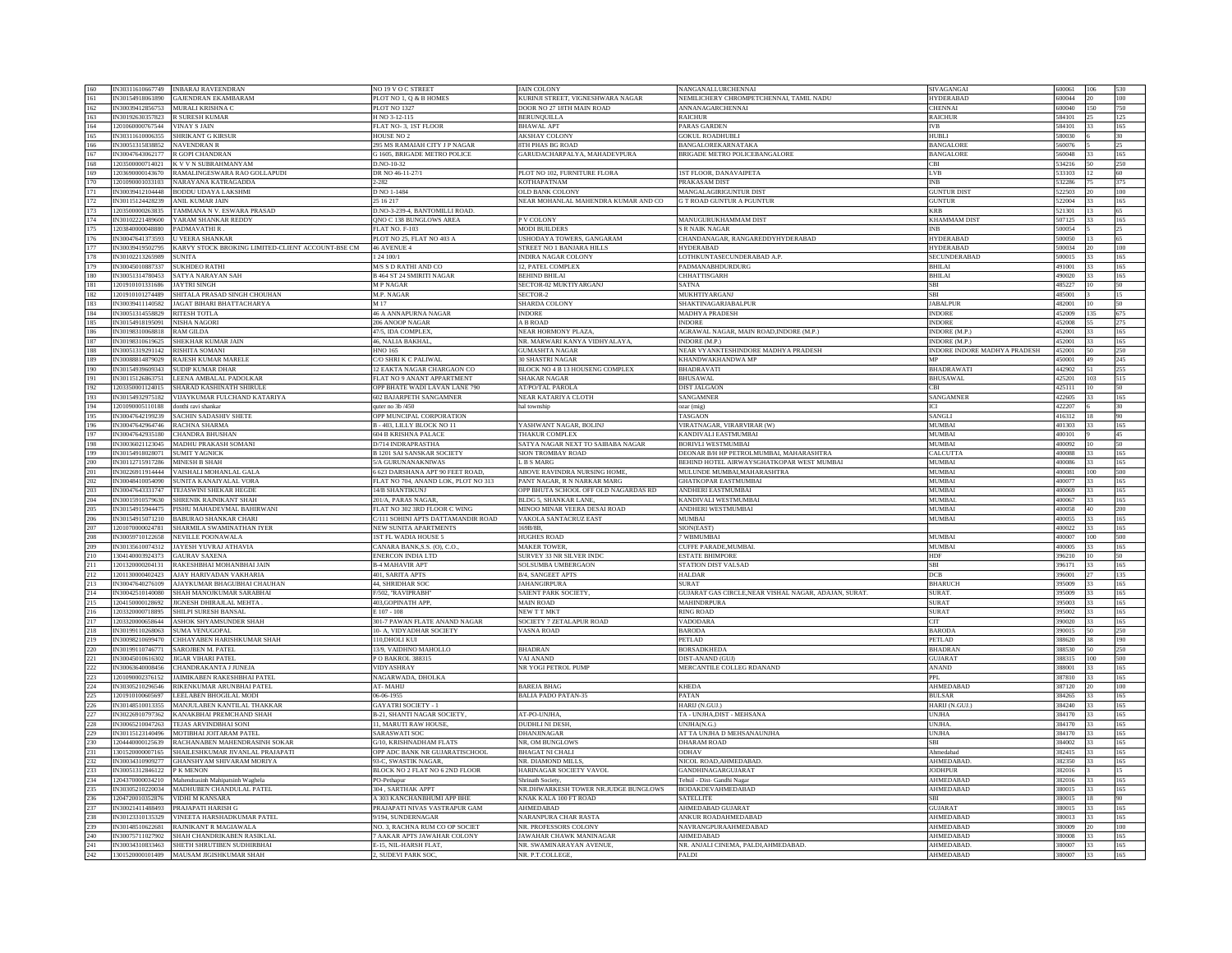| 160        | IN30311610667749 | <b>INBARAJ RAVEENDRAN</b>                                                               | NO 19 V O C STREET                           | <b>JAIN COLONY</b>                          | <b>NANGANALLURCHENNAI</b>                            | SIVAGANGAI                          | 600061 | 106 |     |
|------------|------------------|-----------------------------------------------------------------------------------------|----------------------------------------------|---------------------------------------------|------------------------------------------------------|-------------------------------------|--------|-----|-----|
| 161        | IN30154918061890 | <b>GAJENDRAN EKAMBARAM</b>                                                              | PLOT NO 1, Q & B HOMES                       | KURINJI STREET, VIGNESHWARA NAGAR           | NEMILICHERY CHROMPETCHENNAI, TAMIL NADU              | <b>HYDERABAD</b>                    | 600044 |     | 100 |
| 162        | IN30039412856753 | MURALI KRISHNA C                                                                        | PLOT NO 1327                                 | DOOR NO 27 18TH MAIN ROAD                   | <b>ANNANAGARCHENNAI</b>                              | <b>CHENNAI</b>                      | 600040 | 150 | 750 |
|            |                  |                                                                                         |                                              |                                             |                                                      |                                     |        |     |     |
| 163        | IN30192630357823 | R SURESH KUMAR                                                                          | H NO 3-12-115                                | <b>BERUNQUILLA</b>                          | <b>RAICHUR</b>                                       | <b>AICHUR</b>                       | 584101 |     |     |
| 164        | 1201060000767544 | <b>VINAY S JAIN</b>                                                                     | FLAT NO- 3, 1ST FLOOR                        | <b>BHAWAL APT</b>                           | <b>PARAS GARDEN</b>                                  | <b>IVB</b>                          | 584101 | 33  | 165 |
| 165        | IN30311610006355 | SHRIKANT G KIRSUR                                                                       | <b>HOUSE NO 2</b>                            | <b>AKSHAY COLONY</b>                        | <b>GOKUL ROADHUBL</b>                                | HUBLI                               | 580030 |     |     |
|            |                  |                                                                                         |                                              |                                             |                                                      |                                     |        |     |     |
| 166        | IN30051315838852 | <b>NAVENDRAN R</b>                                                                      | 295 MS RAMAIAH CITY J P NAGAR                | 8TH PHAS BG ROAD                            | BANGALOREKARNATAKA                                   | <b>BANGALORE</b>                    | 560076 |     |     |
| 167        | IN30047643062177 | R GOPI CHANDRAN                                                                         | <b>G 1605. BRIGADE METRO POLICE</b>          | GARUDACHARPALYA, MAHADEVPURA                | BRIGADE METRO POLICEBANGALORE                        | <b>BANGALORE</b>                    | 560048 |     | 165 |
| 168        | 1203500000714021 | K V V N SUBRAHMANYAM                                                                    | 0.NO-10-32                                   |                                             |                                                      | CBI                                 | 34216  |     | 250 |
|            |                  |                                                                                         |                                              |                                             |                                                      |                                     |        |     |     |
| 169        | 1203690000143670 | RAMALINGESWARA RAO GOLLAPUDI                                                            | DR NO 46-11-27/                              | PLOT NO 102, FURNITURE FLORA                | <b>1ST FLOOR, DANAVAIPETA</b>                        | LV <sub>R</sub>                     | 33103  | 12  | 60  |
| 170        | 1201090001033103 | NARAYANA KATRAGADDA                                                                     | $-282$                                       | <b>KOTHAPATNAM</b>                          | PRAKASAM DIST                                        | <b>INB</b>                          | 32286  |     | 375 |
| 171        | IN30039412104448 | BODDU UDAYA LAKSHMI                                                                     | D NO 1-1484                                  | OLD BANK COLONY                             | MANGALAGIRIGUNTUR DIST                               | <b>GUNTUR DIST</b>                  | 522503 | 20  | 100 |
|            |                  |                                                                                         |                                              |                                             |                                                      |                                     |        |     |     |
| 172        | IN30115124428239 | ANIL KUMAR JAIN                                                                         | 25 16 217                                    | NEAR MOHANLAL MAHENDRA KUMAR AND CO         | <b>G T ROAD GUNTUR A PGUNTUR</b>                     | <b>GUNTUR</b>                       | 22004  |     | 165 |
| 173        | 1203500000263835 | TAMMANA N V. ESWARA PRASAD                                                              | O.NO-3-239-4, BANTOMILLI ROAD.               |                                             |                                                      | <b>KRB</b>                          | 21301  |     |     |
| 174        | IN30102221489600 | YARAM SHANKAR REDDY                                                                     | ONO C 138 BUNGLOWS AREA                      | P V COLONY                                  | MANUGURUKHAMMAM DIST                                 | <b>KHAMMAM DIST</b>                 | 507125 | 33  | 165 |
|            |                  |                                                                                         |                                              |                                             |                                                      |                                     |        |     |     |
| 175        | 1203840000048880 | ADMAVATHI R                                                                             | <b>FLAT NO. F-103</b>                        | <b>MODI BUILDERS</b>                        | <b>S R NAIK NAGAR</b>                                | <b>INB</b>                          | 500054 |     |     |
| 176        | IN30047641373593 | <b>VEERA SHANKAI</b>                                                                    | PLOT NO 25, FLAT NO 403 A                    | <b>USHODAYA TOWERS, GANGARAM</b>            | CHANDANAGAR, RANGAREDDYHYDERABAD                     | <b>HYDERABAD</b>                    | 500050 |     |     |
| 177        | IN30039419502795 | <b>CARVY STOCK BROKING LIMITED-CLIENT ACCOUNT-BSE CM</b>                                | 46 AVENUE 4                                  | STREET NO 1 BANJARA HILLS                   | <b>HYDERABAD</b>                                     | <b>HYDERABAD</b>                    | 500034 |     | 100 |
|            |                  |                                                                                         |                                              |                                             |                                                      |                                     |        |     |     |
| $178\,$    | IN30102213265989 | <b>UNITA</b>                                                                            | 24 100/1                                     | <b>INDIRA NAGAR COLONY</b>                  | LOTHKUNTASECUNDERABAD A.P                            | SECUNDERABAD                        | 500015 |     |     |
| 179        | IN30045010887337 | <b>SUKHDEO RATHI</b>                                                                    | <b>M/S S D RATHI AND CO</b>                  | 12. PATEL COMPLEX                           | <b>PADMANARHDURDURG</b>                              | <b>BHILAI</b>                       | 491001 | 33  | 165 |
| 180        | IN30051314780453 | SATYA NARAYAN SAH                                                                       | <b>B 464 ST 24 SMIRITI NAGAR</b>             | <b>BEHIND BHILAI</b>                        | CHHATTISGARH                                         | <b>BHILAI</b>                       | 490020 | 33  | 165 |
|            |                  |                                                                                         |                                              |                                             |                                                      |                                     |        |     |     |
| 181        | 1201910101331686 | <b>JAYTRI SINGH</b>                                                                     | M P NAGAR                                    | SECTOR-02 MUKTIYARGANJ                      | <b>SATNA</b>                                         | SBI                                 | 485227 | 10  |     |
| 182        | 1201910101274489 | SHITALA PRASAD SINGH CHOUHAN                                                            | M.P. NAGAR                                   | SECTOR-2                                    | MUKHTIYARGANJ                                        | SBI                                 | 185001 |     |     |
| 183        | IN30039411140582 | JAGAT BIHARI BHATTACHARYA                                                               | M 17                                         | SHARDA COLONY                               | SHAKTINAGARJABALPUR                                  | <b>JABALPUR</b>                     | 482001 |     |     |
| 184        | IN30051314558829 |                                                                                         |                                              | <b>INDORF</b>                               |                                                      | <b>INDORF</b>                       | 452009 | 135 | 675 |
|            |                  | <b>RITESH TOTLA</b>                                                                     | 46 A ANNAPURNA NAGAR                         |                                             | <b>MADHYA PRADESH</b>                                |                                     |        |     |     |
| 185        | IN30154918195091 | NISHA NAGORI                                                                            | 206 ANOOP NAGAR                              | A B ROAD                                    | <b>INDORE</b>                                        | <b>INDORE</b>                       | 452008 | 55  | 275 |
| 186        | IN30198310068818 | <b>RAM GILDA</b>                                                                        | 47/5, IDA COMPLEX,                           | NEAR HORMONY PLAZA,                         | AGRAWAL NAGAR, MAIN ROAD, INDORE (M.P.)              | <b>INDORE (M.P.)</b>                | 152001 | 33  | 165 |
| 187        | IN30198310619625 | SHEKHAR KUMAR JAIN                                                                      | 6, NALIA BAKHAL,                             | NR. MARWARI KANYA VIDHYALAYA,               | INDORE (M.P.)                                        | NDORE (M.P.)                        | 52001  |     | 165 |
|            |                  |                                                                                         |                                              |                                             |                                                      |                                     |        |     |     |
| 188        | IN30051319291142 | RISHITA SOMANI                                                                          | <b>INO 165</b>                               | <b>GUMASHTA NAGAR</b>                       | NEAR VYANKTESHINDORE MADHYA PRADESH                  | INDORE INDORE MADHYA PRADESH        | 152001 |     | 250 |
| 189        | IN30088814879029 | <b>RAJESH KUMAR MARELE</b>                                                              | C/O SHRI K C PALIWAL                         | <b>30 SHASTRI NAGAR</b>                     | KHANDWAKHANDWA MP                                    |                                     | 450001 | 49  | 245 |
|            |                  |                                                                                         |                                              |                                             |                                                      |                                     |        |     |     |
| 190        | IN30154939609343 | SUDIP KUMAR DHAR                                                                        | 2 EAKTA NAGAR CHARGAON CO                    | BLOCK NO 4 B 13 HOUSENG COMPLEX             | <b>BHADRAVATI</b>                                    | <b>BHADRAWATI</b>                   | 442902 |     | 255 |
| 191        | IN30115126863751 | LEENA AMBALAL PADOLKAR                                                                  | FLAT NO 9 ANANT APPARTMENT                   | <b>SHAKAR NAGAR</b>                         | <b>BHUSAWAL</b>                                      | <b>BHUSAWAL</b>                     | 425201 | 103 | 515 |
| 192        | 1203350001124015 | SHARAD KASHINATH SHIRULE                                                                | PP BHATE WADI LAVAN LANE 790                 | <b>AT/PO/TAL PAROLA</b>                     | <b>DIST JALGAON</b>                                  | CBI                                 | 25111  |     |     |
|            |                  |                                                                                         |                                              |                                             |                                                      |                                     |        |     |     |
| 193        | IN30154932975182 | VIJAYKUMAR FULCHAND KATARIYA                                                            | 602 BAJARPETH SANGAMNER                      | NEAR KATARIYA CLOTH                         | SANGAMNER                                            | SANGAMNER                           | 422605 |     | 165 |
| 194        | 1201090005110188 | donthi ravi shankar                                                                     | uter no 3b/450                               | hal township                                | ozar (mig)                                           | ICI                                 | 422207 |     | 30  |
| 195        | IN30047642199239 | SACHIN SADASHIV SHETE                                                                   | OPP MUNCIPAL CORPORATION                     |                                             | <b>TASGAON</b>                                       | SANGLI                              | 416312 |     |     |
| 196        |                  |                                                                                         |                                              | YASHWANT NAGAR, BOLINJ                      |                                                      | <b>MUMBAI</b>                       | 401303 |     | 165 |
|            | IN30047642964746 | <b>RACHNA SHARMA</b>                                                                    | B - 403, LILLY BLOCK NO 11                   |                                             | VIRATNAGAR, VIRARVIRAR (W)                           |                                     |        | 33. |     |
| 197        | IN30047642935180 | CHANDRA BHUSHAN                                                                         | 04 B KRISHNA PALACE                          | <b>HAKUR COMPLEX</b>                        | KANDIVALI EASTMUMBAI                                 | <b>JUMBAI</b>                       | 00101  |     |     |
| 198        | IN30036021123045 | MADHU PRAKASH SOMANI                                                                    | 0/714 INDRAPRASTHA                           | SATYA NAGAR NEXT TO SAIBABA NAGAR           | BORIVLI WESTMUMBAI                                   | <b>MUMBAI</b>                       | 400092 |     |     |
| 199        | IN30154918028071 | <b>SUMIT YAGNICK</b>                                                                    | <b>B1201 SAI SANSKAR SOCIETY</b>             | <b>SION TROMBAY ROAD</b>                    | DEONAR B/H HP PETROLMUMBAI, MAHARASHTRA              | CALCUTT/                            | 400088 | 33  | 165 |
|            |                  |                                                                                         |                                              |                                             |                                                      |                                     |        |     |     |
| 200        | IN30112715917286 | <b>MINESH B SHAH</b>                                                                    | 5/A GURUNANAKNIWAS                           | L B S MARG                                  | BEHIND HOTEL AIRWAYSGHATKOPAR WEST MUMBAI            | MUMBAI                              | 400086 | 33  | 165 |
| 201        | IN30226911914444 | VAISHALI MOHANLAL GALA                                                                  | 623 DARSHANA APT 90 FEET ROAD.               | ABOVE RAVINDRA NURSING HOME                 | MULUNDE MUMBAI, MAHARASHTRA                          | <b>MUMBAI</b>                       | 400081 | 100 | 500 |
|            |                  |                                                                                         |                                              |                                             |                                                      | <b>MUMBAI</b>                       |        |     | 165 |
| 202        | IN30048410054090 | <b>JUNITA KANAIYALAL VORA</b>                                                           | LAT NO 704, ANAND LOK, PLOT NO 313           | PANT NAGAR, R N NARKAR MARG                 | <b>GHATKOPAR EASTMUMBAI</b>                          |                                     | 100077 |     |     |
| 203        | IN30047643331747 | TEJASWINI SHEKAR HEGDE                                                                  | 14/B SHANTIKUNJ                              | OPP BHUTA SCHOOL OFF OLD NAGARDAS RD        | ANDHERI EASTMUMBAI                                   | <b>MUMBAI</b>                       | 400069 |     | 165 |
| 204        | IN30015910579630 | SHRENIK RAJNIKANT SHAH                                                                  | 201/A, PARAS NAGAR                           | <b>BLDG 5. SHANKAR LANE</b>                 | KANDIVALI WESTMUMBAI                                 | <b>MUMBAI</b>                       | 400067 | 33  | 165 |
|            |                  |                                                                                         |                                              |                                             |                                                      |                                     |        |     |     |
| 205        | IN30154915944475 | PISHU MAHADEVMAL BAHIRWANI                                                              | FLAT NO 302 3RD FLOOR C WING                 | MINOO MINAR VEERA DESAI ROAD                | ANDHERI WESTMUMBAI                                   | MUMBAI                              | 400058 |     | 200 |
| 206        | IN30154915071210 | <b>BABURAO SHANKAR CHARI</b>                                                            | C/111 SOHINI APTS DATTAMANDIR ROAD           | VAKOLA SANTACRUZ EAST                       | <b>MUMBAL</b>                                        | <b>MUMBAI</b>                       | 400055 | 33. | 165 |
| 207        | 201070000024781  | SHARMILA SWAMINATHAN IYER                                                               | <b>IEW SUNITA APARTMENTS</b>                 | 69B/8B                                      | SION(EAST)                                           |                                     | 00022  |     | 165 |
|            |                  |                                                                                         |                                              |                                             |                                                      |                                     |        |     |     |
|            | IN30059710122658 | NEVILLE POONAWALA                                                                       | <b>IST FL WADIA HOUSE 5</b>                  | <b>HUGHES ROAD</b>                          | 7 WBMUMBAI                                           | MUMBAI                              | 400007 | 100 | 500 |
| 208<br>209 | IN30135610074312 | JAYESH YUVRAJ ATHAVIA                                                                   | CANARA BANK, S.S. (O), C.O.                  | <b>MAKER TOWER</b>                          | <b>CUFFE PARADE, MUMBAI</b>                          | MUMBAI                              | 400005 | 33  | 165 |
| 210        | 1304140003924373 | <b>GAURAV SAXENA</b>                                                                    | ENERCON INDIA LTD                            | SURVEY 33 NR SILVER INDC                    | <b>ESTATE BHIMPORE</b>                               | <b>HDF</b>                          | 396210 | 10  | 50  |
|            | 1201320000204131 | RAKESHBHAI MOHANBHAI JAIN                                                               |                                              |                                             |                                                      |                                     | 396171 |     |     |
| 211        |                  |                                                                                         | <b>B-4 MAHAVIR APT</b>                       | SOLSUMBA UMBERGAON                          | STATION DIST VALSAD                                  | SBI                                 |        | 33. | 165 |
| 212        | 201130000402423  | <b>NJAY HARIVADAN VAKHARIA</b>                                                          | <b>101. SARITA APTS</b>                      | <b>B/4, SANGEET APTS</b>                    | <b>HALDAR</b>                                        | DCB                                 | 96001  |     | 35  |
| 213        | IN30047640276109 | AJAYKUMAR BHAGUBHAI CHAUHAN                                                             | 44, SHRIDHAR SOC                             | <b>JAHANGIRPURA</b>                         | <b>SURAT</b>                                         | <b>BHARUCI</b>                      | 395009 |     | 165 |
| 214        | IN30042510140080 | SHAH MANOJKUMAR SARABHAI                                                                | 7502, 'RAVIPRABH'                            | SAIENT PARK SOCIETY                         | GUJARAT GAS CIRCLE, NEAR VISHAL NAGAR, ADAJAN, SURAT | <b>SURAT</b>                        | 95009  |     | 165 |
|            |                  |                                                                                         |                                              |                                             |                                                      |                                     |        |     |     |
| 215        | 1204150000128692 | JIGNESH DHIRAJLAL MEHTA                                                                 | 403, GOPINATH APP,                           | <b>MAIN ROAD</b>                            | <b>MAHINDRPURA</b>                                   | <b>SURAT</b>                        | 395003 | 33  | 165 |
| 216        | 1203320000718895 | SHILPI SURESH BANSAL                                                                    | E 107 - 108                                  | NEW T T MKT                                 | <b>RING ROAD</b>                                     | <b>SURAT</b>                        | 95002  |     | 165 |
| 217        | 1203320000658644 | ASHOK SHYAMSUNDER SHAH                                                                  | 01-7 PAWAN FLATE ANAND NAGAR                 | SOCIETY 7 ZETALAPUR ROAD                    | VADODARA                                             | <b>CIT</b>                          | 90020  |     | 165 |
|            |                  |                                                                                         |                                              |                                             |                                                      |                                     |        |     |     |
| 218        | IN30199110268063 | <b>SUMA VENUGOPAL</b>                                                                   | 0- A, VIDYADHAR SOCIETY                      | <b>VASNA ROAD</b>                           | <b>BARODA</b>                                        | <b>BARODA</b>                       | 390015 | 50  | 250 |
| 219        | IN30098210699470 | CHHAYABEN HARISHKUMAR SHAH                                                              | 10, DHOLI KUI                                |                                             | PETLAD                                               | PETLAD                              | 88620  | 38  | 190 |
| 220        | IN30199110746771 | SAROJBEN M. PATEL                                                                       | 13/9, VAIDHNO MAHOLLO                        | <b>BHADRAN</b>                              | <b>BORSADKHEDA</b>                                   | <b>BHADRAN</b>                      | 388530 | 50  | 250 |
|            |                  | <b>JIGAR VIHARI PATEI</b>                                                               | P O BAKROL 388315                            | VAI ANAND                                   |                                                      | <b>GUJARAT</b>                      | 388315 |     |     |
| 221        | IN30045010616302 |                                                                                         |                                              |                                             | DIST-ANAND (GUJ)                                     |                                     |        | 100 | 500 |
| 222<br>223 | IN30063640008456 | CHANDRAKANTA J JUNEJA                                                                   | VIDYASHRAY                                   | NR YOGI PETROL PUMP                         | MERCANTILE COLLEG RDANAND                            | ANAND                               | 88001  |     |     |
|            | 1201090002376152 | <b>JAIMIKABEN RAKESHBHAI PATEL</b>                                                      | NAGARWADA, DHOLKA                            |                                             |                                                      | PPI.                                | 387810 | 33  | 165 |
| 224        |                  |                                                                                         |                                              |                                             |                                                      |                                     |        |     | 100 |
|            | IN30305210296546 | <b>RIKENKUMAR ARUNBHAI PATEL</b>                                                        | AT-MAHIJ                                     | <b>BAREJA BHAG</b>                          | <b>KHEDA</b>                                         | AHMEDABAD                           | 387120 |     |     |
| 225        | 1201910100605697 | LEELABEN BHOGILAL MODI                                                                  | 06-06-1955                                   | <b>BALIA PADO PATAN-35</b>                  | <b>PATAN</b>                                         | <b>BULSAR</b>                       | 384265 | 33  | 165 |
| 226        | IN30148510013355 | MANJULABEN KANTILAL THAKKAR                                                             | <b>GAYATRI SOCIETY - 1</b>                   |                                             | HARIJ (N.GUJ.)                                       | HARIJ (N.GUJ.)                      | 384240 | 33  | 165 |
|            |                  |                                                                                         |                                              | AT-PO-UNJHA,                                |                                                      |                                     |        |     |     |
| 227<br>228 | IN30226910797362 | KANAKBHAI PREMCHAND SHAH                                                                | 3-21, SHANTI NAGAR SOCIETY.                  |                                             | TA - UNJHA, DIST - MEHSANA                           | <b>JNJHA</b>                        | 384170 |     | 165 |
|            | IN30065210047263 | <b>TEJAS ARVINDBHAI SONI</b>                                                            | 11. MARUTI RAW HOUSE                         | <b>DUDHLI NI DESH</b>                       | UNJHA(N.G.)                                          | <b>INIHA</b>                        | 384170 | 33  | 165 |
| 229        | IN30115123140496 | MOTIBHAI JOITARAM PATEI                                                                 | SARASWATI SOC                                | DHANJINAGAR                                 | AT TA UNJHA D MEHSANAUNJHA                           | <b>JNJHA</b>                        | 384170 | 33  | 165 |
| 230        | 1204440000125639 | RACHANABEN MAHENDRASINH SOKAR                                                           | G/10, KRISHNADHAM FLATS                      | NR, OM BUNGLOWS                             | DHARAM ROAD                                          | SBI                                 | 384002 | 33  | 165 |
|            |                  |                                                                                         |                                              |                                             |                                                      |                                     |        |     |     |
| 231        | 1301520000007165 | SHAILESHKUMAR JIVANLAL PRAJAPATI                                                        | OPP ADC BANK NR GUJARATISCHOOL               | <b>BHAGAT NI CHALI</b>                      | ODHAV                                                | Ahmedabac                           | 382415 |     | 165 |
| 232        | IN30034310909277 | GHANSHYAM SHIVARAM MORIYA                                                               | 3-C, SWASTIK NAGAR,                          | NR. DIAMOND MILLS                           | NICOL ROAD, AHMEDABAD.                               | AHMEDABAD                           | 382350 |     | 165 |
| 233        | IN30051312846122 | P K MENON                                                                               | BLOCK NO 2 FLAT NO 6 2ND FLOOR               | HARINAGAR SOCIETY VAVOL                     | <b>GANDHINAGARGUJARAT</b>                            | <b>JODHPUR</b>                      | 382016 |     |     |
|            |                  |                                                                                         |                                              |                                             |                                                      |                                     |        |     |     |
| 234        | 1204370000034210 | Mahendrasinh Mahipatsinh Waghela                                                        | PO-Pethapur                                  | Shrinath Society                            | Tehsil - Dist- Gandhi Nagar                          | AHMEDABAD                           | 82016  |     | 165 |
| 235        | IN30305210220034 | MADHUBEN CHANDULAL PATEL                                                                | 304, SARTHAK APPT                            | NR.DHWARKESH TOWER NR.JUDGE BUNGLOWS        | BODAKDEVAHMEDABAD                                    | AHMEDABAD                           | 380015 | 33  | 165 |
| 236        | 1204720010352876 | <b>VIDHI M KANSARA</b>                                                                  | <b>4303 KANCHANBHUMI APP BHE</b>             | KNAK KALA 100 FT ROAD                       | <b>SATELLITE</b>                                     | SBI                                 | 80015  | 18  |     |
|            |                  |                                                                                         |                                              |                                             |                                                      |                                     |        |     |     |
| 237        | IN30021411488493 | PRAJAPATI HARISH G                                                                      | PRAJAPATI NIVAS VASTRAPUR GAM                | AHMEDABAD                                   | AHMEDABAD GUJARAT                                    | <b>GUJARA1</b>                      | 80015  |     |     |
| 238        | IN30123310135329 | VINEETA HARSHADKUMAR PATEL                                                              | 9/194 SUNDERNAGAR                            | <b>NARANPURA CHAR RASTA</b>                 | <b>ANKUR ROADAHMEDABAD</b>                           | <b>AHMEDARAD</b>                    | 380013 | 33  | 165 |
| 239        | IN30148510622681 | RAJNIKANT R MAGIAWALA                                                                   | NO. 3, RACHNA RUM CO OP SOCIET               | NR. PROFESSORS COLONY                       | NAVRANGPURAAHMEDABAD                                 | AHMEDABAD                           | 380009 |     | 100 |
|            |                  |                                                                                         |                                              |                                             |                                                      |                                     |        |     |     |
| 240        |                  | IN30075711027902 SHAH CHANDRIKABEN RASIKLAI                                             | 7 AAKAR APTS JAWAHAR COLONY                  | JAWAHAR CHAWK MANINAGAR                     | AHMEDABAD                                            | AHMEDABAD                           | 380008 | 33  | 165 |
|            |                  |                                                                                         |                                              |                                             |                                                      |                                     |        |     |     |
|            |                  |                                                                                         |                                              |                                             |                                                      |                                     | 80007  | 33  | 165 |
| 241<br>242 |                  | IN30034310833463 SHETH SHRUTIBEN SUDHIRBHAI<br>1301520000101409 MAUSAM JIGISHKUMAR SHAH | E-15, NIL-HARSH FLAT,<br>2, SUDEVI PARK SOC, | NR. SWAMINARAYAN AVENUE<br>NR. P.T.COLLEGE, | NR. ANJALI CINEMA, PALDI, AHMEDABAD.<br>PALDI        | <b>HMEDABAD</b><br><b>AHMEDABAD</b> | 380007 | 33  | 165 |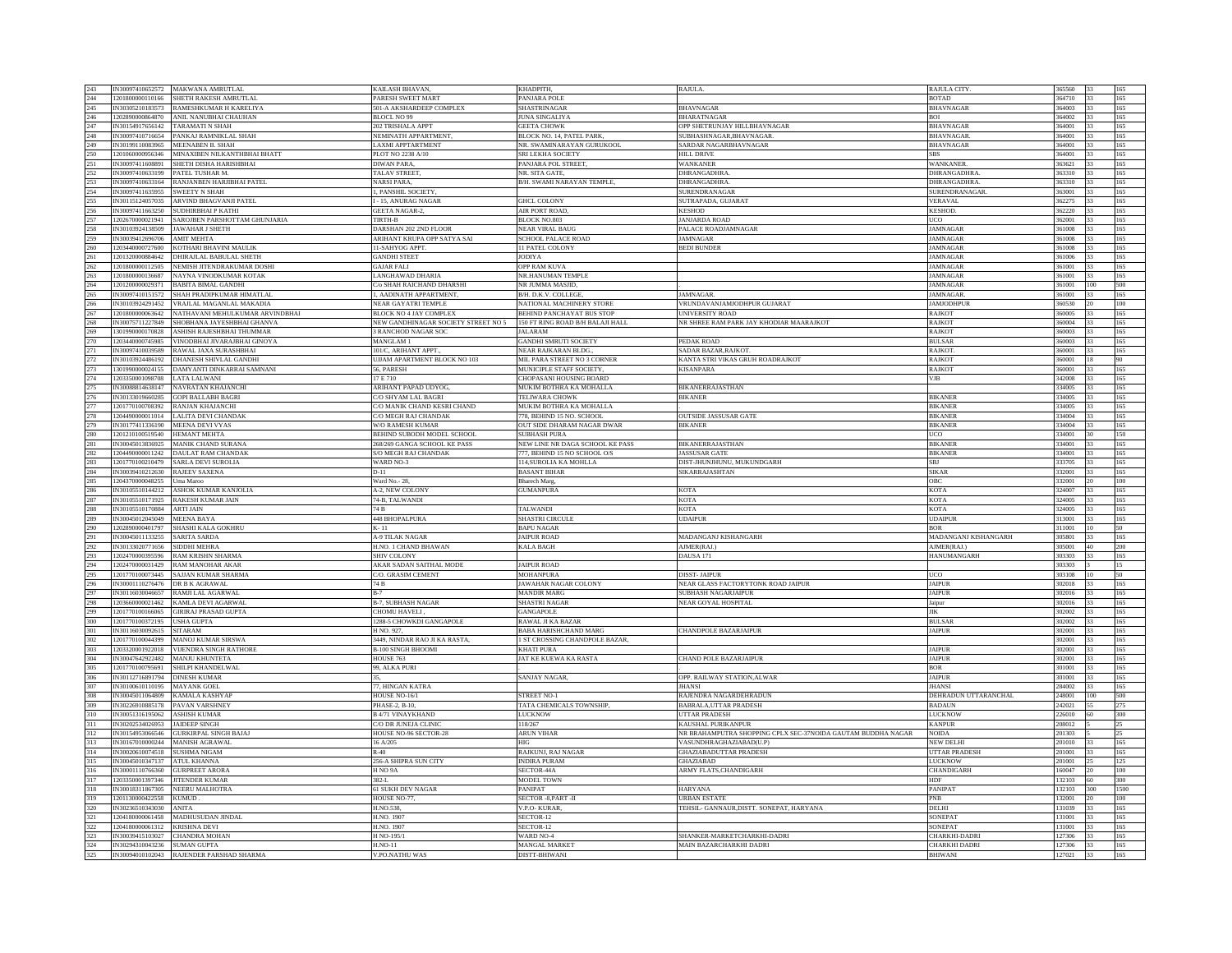| 243        |                                | IN30097410652572 MAKWANA AMRUTLAL           | KAILASH BHAVAN,                         | КНАДРІТН.                             | <b>RAJULA</b>                                                | <b>RAJULA CITY</b>             | 365560           |     |            |
|------------|--------------------------------|---------------------------------------------|-----------------------------------------|---------------------------------------|--------------------------------------------------------------|--------------------------------|------------------|-----|------------|
| 244        | 1201800000110166               | SHETH RAKESH AMRUTLAI                       | <b>PARESH SWEET MART</b>                | PANJARA POLE                          |                                                              | <b>BOTAD</b>                   | 364710           |     | 165        |
| 245        | IN30305210183573               | RAMESHKUMAR H KARELIYA                      | 501-A AKSHARDEEP COMPLEX                | SHASTRINAGAR                          | <b>BHAVNAGAR</b>                                             | <b>HAVNAGAR</b>                | 364003           |     | 165        |
|            |                                |                                             |                                         |                                       |                                                              |                                |                  |     |            |
| 246        | 1202890000864870               | ANIL NANUBHAI CHAUHAN                       | BLOCL NO 99                             | <b>JUNA SINGALIYA</b>                 | <b>BHARATNAGAR</b>                                           | BOI                            | 364002           |     | 165        |
| 247        | IN30154917656142               | <b>TARAMATI N SHAH</b>                      | 202 TRISHALA APPT                       | <b>GEETA CHOWK</b>                    | OPP SHETRUNJAY HILLBHAVNAGAR                                 | <b>BHAVNAGAR</b>               | 364001           | 33  | 165        |
| 248        | IN30097410716654               | PANKAJ RAMNIKLAL SHAH                       | NEMINATH APPARTMENT.                    | BLOCK NO. 14. PATEL PARK              | SUBHASHNAGAR, BHAVNAGAR                                      | BHAVNAGAR                      | 364001           | 33  | 165        |
| 249        | IN30199110083965               | MEENABEN B. SHAH                            | LAXMI APPTARTMENT                       | NR. SWAMINARAYAN GURUKOOL             | SARDAR NAGARBHAVNAGAR                                        | <b>BHAVNAGAR</b>               | 364001           |     | 165        |
| 250        | 1201060000956346               | MINAXIBEN NILKANTHBHAI BHATT                | PLOT NO 2238 A/10                       | SRI LEKHA SOCIETY                     | <b>HILL DRIVE</b>                                            | :BS                            | 364001           |     | 165        |
| 251        | IN30097411608891               | SHETH DISHA HARISHBHAI                      | DIWAN PARA,                             | PANJARA POL STREET.                   | WANKANER                                                     | WANKANER                       | 363621           |     | 165        |
| 252        | IN30097410633199               | PATEL TUSHAR M.                             | TALAV STREET                            | NR. SITA GATE                         | <b>DHRANGADHRA</b>                                           | DHRANGADHRA                    | 363310           | 133 | 165        |
|            |                                |                                             |                                         |                                       |                                                              |                                |                  |     |            |
| 253        | IN30097410633164               | RANJANBEN HARJIBHAI PATEL                   | <b>NARSI PARA</b>                       | B/H. SWAMI NARAYAN TEMPLE,            | DHRANGADHRA                                                  | <b>HRANGADHRA</b>              | 363310           | 33  | 165        |
| 254        | IN30097411635955               | <b>SWEETY N SHAH</b>                        | . PANSHIL SOCIETY                       |                                       | SURENDRANAGAR                                                | SURENDRANAGAR                  | 363001           |     | 165        |
| 255        | IN30115124057035               | ARVIND BHAGVANJI PATEL                      | - 15, ANURAG NAGAR                      | <b>GHCL COLONY</b>                    | SUTRAPADA, GUJARAT                                           | <b>/ERAVAL</b>                 | 362275           |     | 165        |
| 256        |                                | IN30097411663250 SUDHIRBHAI P KATHI         | <b>GEETA NAGAR-2,</b>                   | AIR PORT ROAD,                        | <b>KESHOD</b>                                                | KESHOD.                        | 362220           |     | 165        |
| 257        | 1202670000021941               | SAROJBEN PARSHOTTAM GHUNJARIA               | TIRTH-B                                 | <b>BLOCK NO.803</b>                   | <b>JANJARDA ROAD</b>                                         | UCO                            | 362001           | 33  | 165        |
| 258        | IN30103924138509               | <b>JAWAHAR J SHETH</b>                      | DARSHAN 202 2ND FLOOR                   | <b>NEAR VIRAL BAUG</b>                | PALACE ROADJAMNAGAR                                          | AMNAGAR                        | 361008           | 33  | 165        |
|            |                                |                                             |                                         |                                       |                                                              |                                |                  |     |            |
| 259        | IN30039412696706               | <b>AMIT MEHTA</b>                           | ARIHANT KRUPA OPP SATYA SAI             | SCHOOL PALACE ROAD                    | <b>JAMNAGAR</b>                                              | AMNAGAR                        | 361008           | 33  | 165        |
| 260        | 1203440000727600               | KOTHARI BHAVINI MAULIK                      | 11-SAHYOG APPT.                         | 11 PATEL COLONY                       | <b>BEDI BUNDER</b>                                           | AMNAGAR                        | 361008           |     | 165        |
| 261        | 1201320000884642               | DHIRAJLAL BABULAL SHETH                     | <b>GANDHI STEET</b>                     | <b>JODIYA</b>                         |                                                              | AMNAGAR                        | 361006           |     | 165        |
| 262        | 1201800000112505               | NEMISH JITENDRAKUMAR DOSHI                  | <b>GAJAR FALI</b>                       | <b>OPP RAM KUVA</b>                   |                                                              | <b>JAMNAGAR</b>                | 361001           | 33  | 165        |
| 263        | 1201800000136687               | NAYNA VINODKUMAR KOTAK                      | LANGHAWAD DHARIA                        | NR.HANUMAN TEMPLE                     |                                                              | AMNAGAR                        | 361001           | 33  | 165        |
| 264        | 1201200000029371               | <b>BABITA BIMAL GANDHI</b>                  | C/o SHAH RAICHAND DHARSHI               | NR JUMMA MASJID                       |                                                              | AMNAGAR                        | 361001           | 100 | 500        |
|            | IN30097410151572               |                                             |                                         |                                       |                                                              |                                |                  |     |            |
| 265        |                                | SHAH PRADIPKUMAR HIMATLAL                   | 1, AADINATH APPARTMENT,                 | B/H. D.K.V. COLLEGE                   | JAMNAGAR.                                                    | AMNAGAR                        | 361001           |     | 165        |
| 266        | IN30103924291452               | VRAJLAL MAGANLAL MAKADIA                    | NEAR GAYATRI TEMPLE                     | NATIONAL MACHINERY STORE              | VRUNDAVANJAMJODHPUR GUJARAT                                  | AMJODHPUR                      | 360530           |     | $100\,$    |
| 267        | 1201800000063642               | NATHAVANI MEHULKUMAR ARVINDBHAI             | <b>BLOCK NO 4 JAY COMPLEX</b>           | <b>BEHIND PANCHAYAT BUS STOP</b>      | <b>UNIVERSITY ROAD</b>                                       | <b>RAJKOT</b>                  | 360005           | 33  | 165        |
| 268        | IN30075711227849               | SHOBHANA JAYESHBHAI GHANVA                  | NEW GANDHINAGAR SOCIETY STREET NO 5     | 150 FT RING ROAD B/H BALAJI HALL      | NR SHREE RAM PARK JAY KHODIAR MAARAJKOT                      | <b>AJKOT</b>                   | 360004           | 33  | 165        |
| 269        | 1301990000170828               | ASHISH RAJESHBHAI THUMMAR                   | 3 RANCHOD NAGAR SOC                     | <b>JALARAM</b>                        |                                                              | RAJKOT                         | 360003           | 33  | 165        |
| 270        | 1203440000745985               | VINODBHAI JIVARAJBHAI GINOYA                | MANGLAM 1                               | <b>GANDHI SMRUTI SOCIETY</b>          | PEDAK ROAD                                                   | <b>ULSAR</b>                   | 60003            |     | 165        |
|            |                                |                                             |                                         |                                       |                                                              |                                |                  |     |            |
| 271        | IN30097410039589               | RAWAL JAXA SURASHBHAI                       | 101/C, ARIHANT APPT.,                   | NEAR RAJKARAN BLDG.                   | SADAR BAZAR, RAJKOT.                                         | RAJKOT                         | 360001           |     | 165        |
| 272        | IN30103924486192               | DHANESH SHIVLAL GANDHI                      | <b>UIJAM APARTMENT BLOCK NO 103</b>     | MIL PARA STREET NO 3 CORNER           | KANTA STRI VIKAS GRUH ROADRAJKOT                             | <b>RAJKOT</b>                  | 360001           | 18  | 90         |
| 273        |                                | 1301990000024155 DAMYANTI DINKARRAI SAMNANI | 56, PARESH                              | MUNICIPLE STAFF SOCIETY               | <b>KISANPARA</b>                                             | RAJKO <sub>1</sub>             | 360001           | 33  | 165        |
| 274        | 1203350001098708               | <b>LATA LALWANI</b>                         | 17 E 710                                | <b>CHOPASANI HOUSING BOARD</b>        |                                                              | VJB                            | 342008           | 33  | 165        |
| 275        | IN30088814638147               | NAVRATAN KHAJANCHI                          | ARIHANT PAPAD UDYOG,                    | MUKIM BOTHRA KA MOHALLA               | <b>BIKANERRAJASTHAN</b>                                      |                                | 334005           |     | 165        |
| 276        | IN30133019660285               | <b>GOPI BALLABH BAGRI</b>                   | C/O SHYAM LAL BAGRI                     | TELIWARA CHOWK                        | <b>BIKANER</b>                                               | <b>HKANER</b>                  | 334005           |     | 165        |
| 277        |                                | 1201770100708392 RANJAN KHAJANCHI           |                                         |                                       |                                                              | <b>BIKANER</b>                 | 334005           | 33  | 165        |
|            |                                |                                             | C/O MANIK CHAND KESRI CHAND             | MUKIM BOTHRA KA MOHALLA               |                                                              |                                |                  |     |            |
| 278        | 1204490000011014               | LALITA DEVI CHANDAK                         | <b>C/O MEGH RAJ CHANDAK</b>             | 778. BEHIND 15 NO. SCHOOL             | <b>OUTSIDE JASSUSAR GATE</b>                                 | <b>IKANER</b>                  | 334004           | 33  | 165        |
| 279        |                                | IN30177411336190 MEENA DEVI VYAS            | <b>W/O RAMESH KUMAR</b>                 | OUT SIDE DHARAM NAGAR DWAR            | <b>BIKANER</b>                                               | <b>BIKANER</b>                 | 334004           | 33  | 165        |
| 280        | 1201210100519540               | <b>HEMANT MEHTA</b>                         | BEHIND SUBODH MODEL SCHOOL              | <b>SUBHASH PURA</b>                   |                                                              | CO                             | 334001           |     | 150        |
| 281        | IN30045013836925               | <b>MANIK CHAND SURANA</b>                   | 268/269 GANGA SCHOOL KE PASS            | NEW LINE NR DAGA SCHOOL KE PASS       | <b>BIKANERRAJASTHAN</b>                                      | BIKANEF                        | 334001           |     | 165        |
| 282        | 1204490000011242               | DAULAT RAM CHANDAK                          | <b>S/O MEGH RAI CHANDAK</b>             | 777 BEHIND 15 NO SCHOOL O/S           | <b>JASSUSAR GATE</b>                                         | <b>BIKANER</b>                 | 334001           | 133 | 165        |
| 283        | 1201770100210479               | <b>SARLA DEVI SUROLIA</b>                   | <b>WARD NO-3</b>                        | 114, SUROLIA KA MOHLLA                | DIST-JHUNJHUNU, MUKUNDGARH                                   | <b>SBJ</b>                     | 333705           | 33  | 165        |
|            |                                |                                             |                                         |                                       |                                                              |                                |                  |     |            |
|            |                                |                                             |                                         |                                       |                                                              |                                |                  |     |            |
| 284        | IN30039410212630 RAJEEV SAXENA |                                             | $D-11$                                  | <b>BASANT BIHAR</b>                   | SIKARRAJASHTAN                                               | <b>SIKAR</b>                   | 332001           | 33  | 165        |
| 285        | 1204370000048255               | Uma Maroo                                   | Ward No.- 28                            | Bharech Marg.                         |                                                              | <b>DBC</b>                     | 332001           |     | 100        |
|            | IN30105510144212               | ASHOK KUMAR KANJOLIA                        | A-2, NEW COLONY                         | <b>GUMANPURA</b>                      | KOTA                                                         | <b>KOTA</b>                    | 324007           |     | 165        |
| 286        | IN30105510171925               | <b>RAKESH KUMAR JAIN</b>                    | 74-B TALWANDI                           |                                       |                                                              | <b>KOTA</b>                    | 324005           | 33  |            |
| 287        |                                |                                             |                                         |                                       | <b>KOTA</b>                                                  |                                |                  |     | 165        |
| 288        | IN30105510170884               | <b>ARTI JAIN</b>                            | 74 B                                    | <b>TALWANDI</b>                       | <b>KOTA</b>                                                  | KOTA                           | 324005           | 33  | 165        |
| 289        | IN30045012045049               | <b>MEENA BAYA</b>                           | 448 BHOPALPURA                          | <b>SHASTRI CIRCULE</b>                | <b>UDAIPUR</b>                                               | <b>UDAIPUE</b>                 | 313001           | 33  | 165        |
| 290        | 1202890000401797               | SHASHI KALA GOKHRU                          | K-11                                    | <b>BAPU NAGAR</b>                     |                                                              | OR                             | 311001           |     | 50         |
| 291        | IN30045011133255               | SARITA SARDA                                | <b>A-9 TILAK NAGAR</b>                  | <b>JAIPUR ROAD</b>                    | MADANGANJ KISHANGARH                                         | MADANGANJ KISHANGARH           | 305801           |     | 165        |
| 292        | IN30133020771656               | SIDDHI MEHRA                                | H NO 1 CHAND BHAWAN                     | <b>KALA BAGH</b>                      | AIMER(RAI)                                                   | AIMER(RAI)                     | 305001           | 40  | 200        |
| 293        | 1202470000395596               | <b>RAM KRISHN SHARMA</b>                    | <b>SHIV COLONY</b>                      |                                       | DAUSA 171                                                    | <b>HANUMANGARH</b>             | 303303           | 33  | 165        |
|            | 1202470000031429               | <b>RAM MANOHAR AKAR</b>                     |                                         | <b>JAIPUR ROAD</b>                    |                                                              |                                | 303303           |     | 15         |
| 294        |                                |                                             | AKAR SADAN SAITHAL MODE                 |                                       |                                                              |                                |                  |     |            |
| 295        | 1201770100073445               | SAJJAN KUMAR SHARMA                         | C/O. GRASIM CEMENT                      | <b>MOHANPURA</b>                      | <b>DISST-JAIPUR</b>                                          | ICO                            | 303108           |     | 50         |
| 296        |                                | IN30001110276476 DR B K AGRAWAL             | $74\ \mathrm{B}$                        | JAWAHAR NAGAR COLONY                  | NEAR GLASS FACTORYTONK ROAD JAIPUR                           | JAIPUR                         | 302018           |     | 165        |
| 297        | IN30116030046657               | RAMILLAL AGARWAL                            | R.7                                     | <b>MANDIR MARG</b>                    | SUBHASH NAGARIAIPUR                                          | <b>JAIPUR</b>                  | 302016           | 33  | 165        |
| 298        |                                | 1203660000021462 KAMLA DEVI AGARWAL         | <b>B-7, SUBHASH NAGAR</b>               | <b>SHASTRI NAGAR</b>                  | NEAR GOYAL HOSPITAL                                          | aipur                          | 302016           | 33  | 165        |
| 299        | 1201770100166065               | <b>GIRIRAJ PRASAD GUPTA</b>                 | CHOMU HAVELI,                           | <b>GANGAPOLE</b>                      |                                                              | ЛK                             | 302002           | 33  | 165        |
| 300        | 1201770100372195               | USHA GUPTA                                  | 1288-5 CHOWKDI GANGAPOLE                | RAWAL JI KA BAZAR                     |                                                              | <b>BULSAF</b>                  | 302002           |     | 165        |
| 301        | IN30116030092615               | <b>SITARAM</b>                              | H NO. 927.                              | <b>BABA HARISHCHAND MARG</b>          | CHANDPOLE BAZARJAIPUR                                        | JAIPUR                         | 302001           |     | 165        |
|            | 1201770100044399               | <b>MANOLKUMAR SIRSWA</b>                    | 3449 NINDAR RAO JI KA RASTA             | 1 ST CROSSING CHANDPOLE BAZAR         |                                                              |                                | 302001           | 33  | 165        |
| 302        |                                |                                             |                                         |                                       |                                                              |                                |                  |     |            |
| 303        | 1203320001922018               | <b>VIJENDRA SINGH RATHORE</b>               | <b>B-100 SINGH BHOOMI</b>               | <b>KHATI PURA</b>                     |                                                              | <b>AIPUF</b>                   | 302001           | 33  | 165        |
| 304        | IN30047642922482               | <b>MANJU KHUNTETA</b>                       | HOUSE 763                               | JAT KE KUEWA KA RASTA                 | CHAND POLE BAZARJAIPUR                                       | <b>AIPUR</b>                   | 302001           |     | 165        |
| 305        | 1201770100795691               | SHILPI KHANDELWAL                           | 99, ALKA PURI                           |                                       |                                                              | <b>SOR</b>                     | 301001           |     | 165        |
| 306        | IN30112716891794               | <b>DINESH KUMAR</b>                         |                                         | <b>SANJAY NAGAR</b>                   | OPP. RAILWAY STATION, ALWAR                                  | JAIPUR                         | 301001           |     | 165        |
| 307        | IN30100610110195 MAYANK GOEI   |                                             |                                         |                                       | <b>IHANSI</b>                                                | <b>IHANSI</b>                  | 284002           | 133 | 165        |
|            | IN30045011064809               |                                             | 77, HINGAN KATRA                        | <b>STREET NO-1</b>                    |                                                              |                                | 248001           | 100 | 500        |
| 308        |                                | KAMALA KASHYAP                              | HOUSE NO-16/1                           |                                       | RAJENDRA NAGARDEHRADUN                                       | DEHRADUN UTTARANCHAL           |                  |     |            |
| 309        |                                | IN30226910885178 PAVAN VARSHNEY             | PHASE-2, B-10                           | TATA CHEMICALS TOWNSHIP,              | BABRALA, UTTAR PRADESH                                       | <b>BADAUN</b>                  | 242021           | 55  | 275        |
| 310        | IN30051316195062               | <b>ASHISH KUMAR</b>                         | <b>B4/71 VINAYKHAND</b>                 | <b>LUCKNOW</b>                        | UTTAR PRADESH                                                | <b>UCKNOW</b>                  | 226010           |     | 300        |
| 311        | IN30202534026953               | <b>JAIDEEP SINGH</b>                        | C/O DR JUNEJA CLINIC                    | 118/267                               | KAUSHAL PURIKANPUR                                           | <b><i>ANPUR</i></b>            | 208012           |     | 25         |
| 312        | IN30154953066546               | <b>GURKIRPAL SINGH BAJAJ</b>                | HOUSE NO-96 SECTOR-28                   | <b>ARUN VIHAR</b>                     | NR BRAHAMPUTRA SHOPPING CPLX SEC-37NOIDA GAUTAM BUDDHA NAGAR | <b>NOIDA</b>                   | 201303           |     | 25         |
| 313        |                                | IN30167010000244 MANISH AGRAWAL             | 16 A/205                                | <b>HIG</b>                            | VASUNDHRAGHAZIABAD(U.P)                                      | <b>NEW DELHI</b>               | 201010           |     | 165        |
| 314        | IN30020610074518 SUSHMA NIGAM  |                                             | $R-40$                                  |                                       |                                                              | <b>JTTAR PRADESH</b>           | 201001           | 33  |            |
| 315        | IN30045010347137               |                                             |                                         | RAJKUNJ, RAJ NAGAR                    | <b>GHAZIABADUTTAR PRADESH</b>                                |                                |                  |     | 165<br>125 |
|            |                                | <b>ATUL KHANNA</b>                          | 256-A SHIPRA SUN CITY                   | <b>INDIRA PURAM</b>                   | GHAZIABAD                                                    | <b>UCKNOW</b>                  | 201001           |     |            |
| 316        | IN30001110766360               | <b>GURPREET ARORA</b>                       | H <sub>NO</sub> 9A                      | SECTOR-44A                            | ARMY FLATS, CHANDIGARH                                       | <b>HANDIGARH</b>               | 160047           |     | 100        |
| 317        |                                | 1203350001397346 IITENDER KUMAR             | $382 - 1$ .                             | <b>MODEL TOWN</b>                     |                                                              | <b>HDF</b>                     | 132103           | 60  | 300        |
| 318        | IN30018311867305               | NEERU MALHOTRA                              | <b>61 SUKH DEV NAGAR</b>                | PANIPAT                               | <b>HARYANA</b>                                               | <b>ANIPAT</b>                  | 132103           | 300 | 1500       |
| 319        | 1201130000422558               | <b>KUMUD</b>                                | HOUSE NO-77                             | SECTOR -8, PART -II                   | <b>URBAN ESTATE</b>                                          | 'NB                            | 132001           | 20  | 100        |
| 320        | IN30236510343030               | ANITA                                       | H.NO.538,                               | V.P.O- KURAR,                         | TEHSIL- GANNAUR, DISTT. SONEPAT, HARYANA                     | ELHI                           | 131039           |     | 165        |
|            |                                |                                             |                                         |                                       |                                                              |                                |                  |     |            |
| 321        | 1204180000061458               | MADHUSUDAN JINDAL                           | H.NO. 1907                              | SECTOR-12                             |                                                              | SONEPAT                        | 131001           |     | 165        |
| 322        | 1204180000061312               | <b>KRISHNA DEVI</b>                         | H NO 1907                               | SECTOR-12                             |                                                              | <b>SONEPAT</b>                 | 131001           | 133 | 165        |
| 323        | IN30039415103027               | <b>CHANDRA MOHAN</b>                        | H NO-195/                               | <b>WARD NO-4</b>                      | SHANKER-MARKETCHARKHI-DADRI                                  | HARKHI-DADRI                   | 127306           | 33  | 165        |
| 324<br>325 | IN30294310043236 SUMAN GUPTA   | IN30094010102043 RAJENDER PARSHAD SHARMA    | <b>H.NO-11</b><br><b>V.PO.NATHU WAS</b> | <b>MANGAL MARKET</b><br>DISTT-BHIWANI | MAIN BAZARCHARKHI DADRI                                      | <b>HARKHI DADRI</b><br>BHIWANI | 127306<br>127021 | 33  | 165<br>165 |